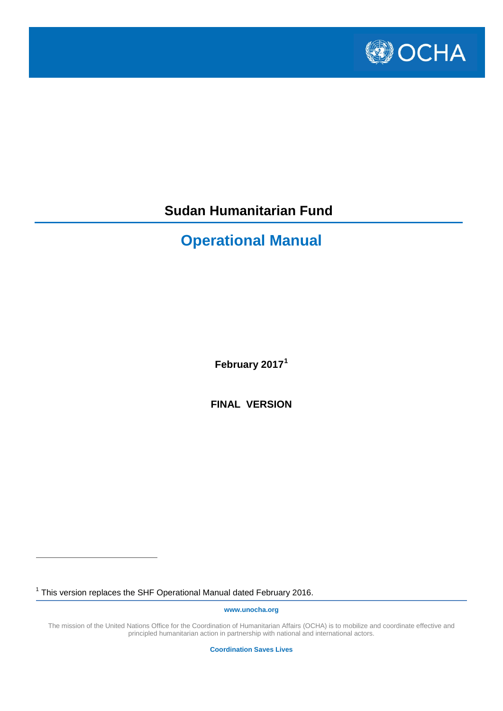

# **Sudan Humanitarian Fund**

# **Operational Manual**

**February 2017[1](#page-0-0)**

**FINAL VERSION**

<span id="page-0-0"></span><sup>1</sup> This version replaces the SHF Operational Manual dated February 2016.

 $\overline{a}$ 

**www.unocha.org**

The mission of the United Nations Office for the Coordination of Humanitarian Affairs (OCHA) is to mobilize and coordinate effective and principled humanitarian action in partnership with national and international actors.

**Coordination Saves Lives**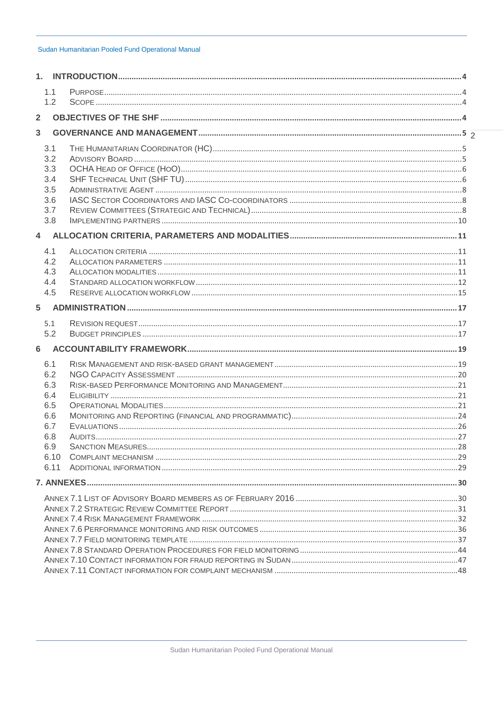|                         | 1.1        |  |
|-------------------------|------------|--|
|                         | 1.2        |  |
| $\overline{\mathbf{2}}$ |            |  |
| 3                       |            |  |
|                         | 3.1        |  |
|                         | 3.2        |  |
|                         | 3.3        |  |
|                         | 3.4        |  |
|                         | 3.5        |  |
|                         | 3.6        |  |
|                         | 3.7        |  |
|                         | 3.8        |  |
| 4                       |            |  |
|                         | 4.1        |  |
|                         | 4.2        |  |
|                         | 4.3        |  |
|                         | 4.4        |  |
|                         | 4.5        |  |
| 5                       |            |  |
|                         | 5.1        |  |
|                         | 5.2        |  |
| 6                       |            |  |
|                         | 6.1        |  |
|                         | 6.2        |  |
|                         | 6.3        |  |
|                         | 6.4        |  |
|                         | 6.5        |  |
|                         | 6.6        |  |
|                         | 6.7        |  |
|                         | 6.8<br>6.9 |  |
|                         | 6.10       |  |
|                         | 6.11       |  |
|                         |            |  |
|                         |            |  |
|                         |            |  |
|                         |            |  |
|                         |            |  |
|                         |            |  |
|                         |            |  |
|                         |            |  |
|                         |            |  |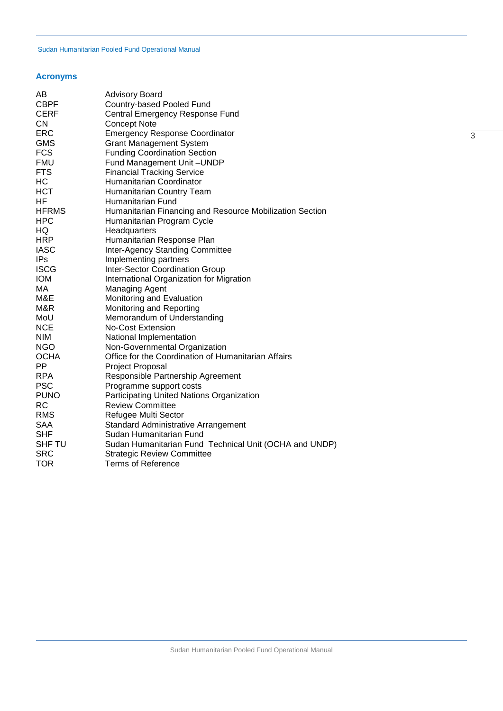# **Acronyms**

| AB            | <b>Advisory Board</b>                                    |
|---------------|----------------------------------------------------------|
| <b>CBPF</b>   | Country-based Pooled Fund                                |
| <b>CERF</b>   | Central Emergency Response Fund                          |
| <b>CN</b>     | <b>Concept Note</b>                                      |
| ERC           | <b>Emergency Response Coordinator</b>                    |
| <b>GMS</b>    | <b>Grant Management System</b>                           |
| <b>FCS</b>    | <b>Funding Coordination Section</b>                      |
| <b>FMU</b>    | Fund Management Unit-UNDP                                |
| <b>FTS</b>    | <b>Financial Tracking Service</b>                        |
| HC            | Humanitarian Coordinator                                 |
| <b>HCT</b>    | Humanitarian Country Team                                |
| HF            | Humanitarian Fund                                        |
| <b>HFRMS</b>  | Humanitarian Financing and Resource Mobilization Section |
| <b>HPC</b>    | Humanitarian Program Cycle                               |
| HQ.           | Headquarters                                             |
| <b>HRP</b>    | Humanitarian Response Plan                               |
| <b>IASC</b>   | <b>Inter-Agency Standing Committee</b>                   |
| IPs           | Implementing partners                                    |
| <b>ISCG</b>   | <b>Inter-Sector Coordination Group</b>                   |
| <b>IOM</b>    | International Organization for Migration                 |
| МA            | <b>Managing Agent</b>                                    |
| M&E           | Monitoring and Evaluation                                |
| M&R           | Monitoring and Reporting                                 |
| MoU           | Memorandum of Understanding                              |
| <b>NCE</b>    | <b>No-Cost Extension</b>                                 |
| <b>NIM</b>    | National Implementation                                  |
| <b>NGO</b>    | Non-Governmental Organization                            |
| <b>OCHA</b>   | Office for the Coordination of Humanitarian Affairs      |
| <b>PP</b>     | <b>Project Proposal</b>                                  |
| <b>RPA</b>    | Responsible Partnership Agreement                        |
| <b>PSC</b>    | Programme support costs                                  |
| <b>PUNO</b>   | Participating United Nations Organization                |
| <b>RC</b>     | <b>Review Committee</b>                                  |
| <b>RMS</b>    | Refugee Multi Sector                                     |
| <b>SAA</b>    | <b>Standard Administrative Arrangement</b>               |
| <b>SHF</b>    | Sudan Humanitarian Fund                                  |
| <b>SHF TU</b> | Sudan Humanitarian Fund Technical Unit (OCHA and UNDP)   |
| <b>SRC</b>    | <b>Strategic Review Committee</b>                        |
| <b>TOR</b>    | <b>Terms of Reference</b>                                |
|               |                                                          |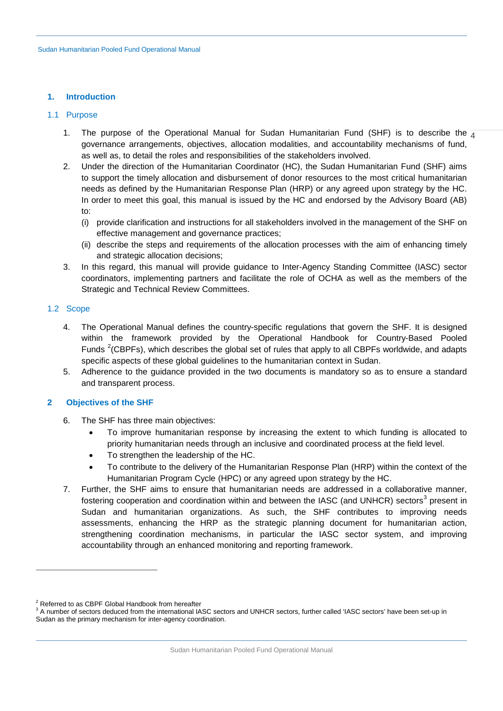## <span id="page-3-0"></span>**1. Introduction**

## <span id="page-3-1"></span>1.1 Purpose

- 1. The purpose of the Operational Manual for Sudan Humanitarian Fund (SHF) is to describe the  $\frac{1}{4}$ governance arrangements, objectives, allocation modalities, and accountability mechanisms of fund, as well as, to detail the roles and responsibilities of the stakeholders involved.
- 2. Under the direction of the Humanitarian Coordinator (HC), the Sudan Humanitarian Fund (SHF) aims to support the timely allocation and disbursement of donor resources to the most critical humanitarian needs as defined by the Humanitarian Response Plan (HRP) or any agreed upon strategy by the HC. In order to meet this goal, this manual is issued by the HC and endorsed by the Advisory Board (AB) to:
	- (i) provide clarification and instructions for all stakeholders involved in the management of the SHF on effective management and governance practices;
	- (ii) describe the steps and requirements of the allocation processes with the aim of enhancing timely and strategic allocation decisions;
- 3. In this regard, this manual will provide guidance to Inter-Agency Standing Committee (IASC) sector coordinators, implementing partners and facilitate the role of OCHA as well as the members of the Strategic and Technical Review Committees.

# <span id="page-3-2"></span>1.2 Scope

 $\overline{a}$ 

- 4. The Operational Manual defines the country-specific regulations that govern the SHF. It is designed within the framework provided by the Operational Handbook for Country-Based Pooled Funds <sup>[2](#page-3-4)</sup>(CBPFs), which describes the global set of rules that apply to all CBPFs worldwide, and adapts specific aspects of these global guidelines to the humanitarian context in Sudan.
- 5. Adherence to the guidance provided in the two documents is mandatory so as to ensure a standard and transparent process.

# <span id="page-3-3"></span>**2 Objectives of the SHF**

- 6. The SHF has three main objectives:
	- To improve humanitarian response by increasing the extent to which funding is allocated to priority humanitarian needs through an inclusive and coordinated process at the field level.
	- To strengthen the leadership of the HC.
	- To contribute to the delivery of the Humanitarian Response Plan (HRP) within the context of the Humanitarian Program Cycle (HPC) or any agreed upon strategy by the HC.
- 7. Further, the SHF aims to ensure that humanitarian needs are addressed in a collaborative manner, fostering cooperation and coordination within and between the IASC (and UNHCR) sectors<sup>[3](#page-3-5)</sup> present in Sudan and humanitarian organizations. As such, the SHF contributes to improving needs assessments, enhancing the HRP as the strategic planning document for humanitarian action, strengthening coordination mechanisms, in particular the IASC sector system, and improving accountability through an enhanced monitoring and reporting framework.

<span id="page-3-5"></span><span id="page-3-4"></span> $^2$  Referred to as CBPF Global Handbook from hereafter<br> $^3$  A number of sectors deduced from the international IASC sectors and UNHCR sectors, further called 'IASC sectors' have been set-up in Sudan as the primary mechanism for inter-agency coordination.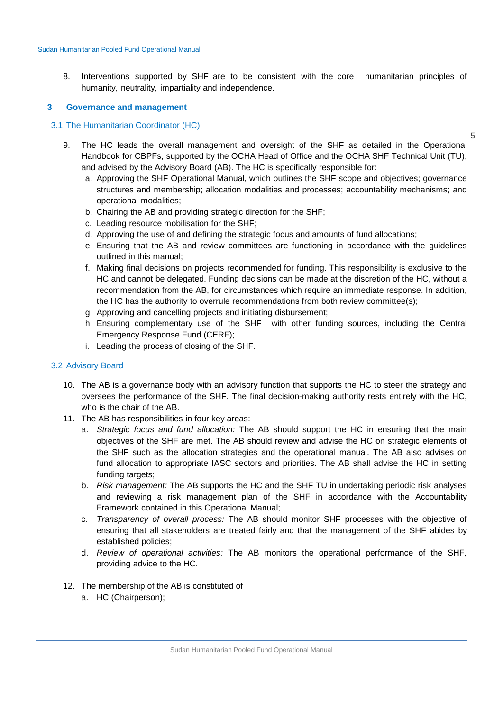8. Interventions supported by SHF are to be consistent with the core humanitarian principles of humanity, neutrality, impartiality and independence.

## <span id="page-4-0"></span>**3 Governance and management**

# <span id="page-4-1"></span>3.1 The Humanitarian Coordinator (HC)

- 9. The HC leads the overall management and oversight of the SHF as detailed in the Operational Handbook for CBPFs, supported by the OCHA Head of Office and the OCHA SHF Technical Unit (TU), and advised by the Advisory Board (AB). The HC is specifically responsible for:
	- a. Approving the SHF Operational Manual, which outlines the SHF scope and objectives; governance structures and membership; allocation modalities and processes; accountability mechanisms; and operational modalities;

5

- b. Chairing the AB and providing strategic direction for the SHF;
- c. Leading resource mobilisation for the SHF;
- d. Approving the use of and defining the strategic focus and amounts of fund allocations;
- e. Ensuring that the AB and review committees are functioning in accordance with the guidelines outlined in this manual;
- f. Making final decisions on projects recommended for funding. This responsibility is exclusive to the HC and cannot be delegated. Funding decisions can be made at the discretion of the HC, without a recommendation from the AB, for circumstances which require an immediate response. In addition, the HC has the authority to overrule recommendations from both review committee(s);
- g. Approving and cancelling projects and initiating disbursement;
- h. Ensuring complementary use of the SHF with other funding sources, including the Central Emergency Response Fund (CERF);
- i. Leading the process of closing of the SHF.

## <span id="page-4-2"></span>3.2 Advisory Board

- 10. The AB is a governance body with an advisory function that supports the HC to steer the strategy and oversees the performance of the SHF. The final decision-making authority rests entirely with the HC, who is the chair of the AB.
- 11. The AB has responsibilities in four key areas:
	- a. *Strategic focus and fund allocation:* The AB should support the HC in ensuring that the main objectives of the SHF are met. The AB should review and advise the HC on strategic elements of the SHF such as the allocation strategies and the operational manual. The AB also advises on fund allocation to appropriate IASC sectors and priorities. The AB shall advise the HC in setting funding targets;
	- b. *Risk management:* The AB supports the HC and the SHF TU in undertaking periodic risk analyses and reviewing a risk management plan of the SHF in accordance with the Accountability Framework contained in this Operational Manual;
	- c. *Transparency of overall process:* The AB should monitor SHF processes with the objective of ensuring that all stakeholders are treated fairly and that the management of the SHF abides by established policies;
	- d. *Review of operational activities:* The AB monitors the operational performance of the SHF*,*  providing advice to the HC.
- 12. The membership of the AB is constituted of
	- a. HC (Chairperson);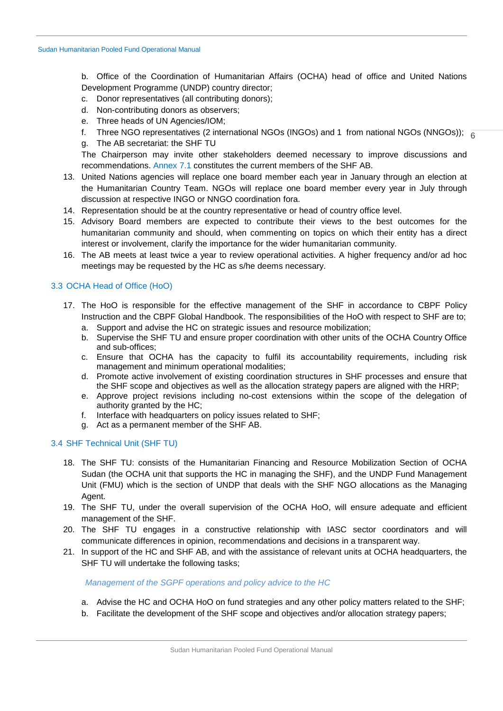b. Office of the Coordination of Humanitarian Affairs (OCHA) head of office and United Nations Development Programme (UNDP) country director;

- c. Donor representatives (all contributing donors);
- d. Non-contributing donors as observers;
- e. Three heads of UN Agencies/IOM;
- f. Three NGO representatives (2 international NGOs (INGOs) and 1 from national NGOs (NNGOs));  $_{\overline{6}}$
- g. The AB secretariat: the SHF TU

The Chairperson may invite other stakeholders deemed necessary to improve discussions and recommendations. [Annex 7.1](#page-29-1) constitutes the current members of the SHF AB.

- 13. United Nations agencies will replace one board member each year in January through an election at the Humanitarian Country Team. NGOs will replace one board member every year in July through discussion at respective INGO or NNGO coordination fora.
- 14. Representation should be at the country representative or head of country office level.
- 15. Advisory Board members are expected to contribute their views to the best outcomes for the humanitarian community and should, when commenting on topics on which their entity has a direct interest or involvement, clarify the importance for the wider humanitarian community.
- 16. The AB meets at least twice a year to review operational activities. A higher frequency and/or ad hoc meetings may be requested by the HC as s/he deems necessary.

# <span id="page-5-0"></span>3.3 OCHA Head of Office (HoO)

- 17. The HoO is responsible for the effective management of the SHF in accordance to CBPF Policy Instruction and the CBPF Global Handbook. The responsibilities of the HoO with respect to SHF are to;
	- a. Support and advise the HC on strategic issues and resource mobilization;
	- b. Supervise the SHF TU and ensure proper coordination with other units of the OCHA Country Office and sub-offices;
	- c. Ensure that OCHA has the capacity to fulfil its accountability requirements, including risk management and minimum operational modalities;
	- d. Promote active involvement of existing coordination structures in SHF processes and ensure that the SHF scope and objectives as well as the allocation strategy papers are aligned with the HRP;
	- e. Approve project revisions including no-cost extensions within the scope of the delegation of authority granted by the HC;
	- f. Interface with headquarters on policy issues related to SHF;
	- g. Act as a permanent member of the SHF AB.

## <span id="page-5-1"></span>3.4 SHF Technical Unit (SHF TU)

- 18. The SHF TU: consists of the Humanitarian Financing and Resource Mobilization Section of OCHA Sudan (the OCHA unit that supports the HC in managing the SHF), and the UNDP Fund Management Unit (FMU) which is the section of UNDP that deals with the SHF NGO allocations as the Managing Agent.
- 19. The SHF TU, under the overall supervision of the OCHA HoO, will ensure adequate and efficient management of the SHF.
- 20. The SHF TU engages in a constructive relationship with IASC sector coordinators and will communicate differences in opinion, recommendations and decisions in a transparent way.
- 21. In support of the HC and SHF AB, and with the assistance of relevant units at OCHA headquarters, the SHF TU will undertake the following tasks;

## *Management of the SGPF operations and policy advice to the HC*

- a. Advise the HC and OCHA HoO on fund strategies and any other policy matters related to the SHF;
- b. Facilitate the development of the SHF scope and objectives and/or allocation strategy papers;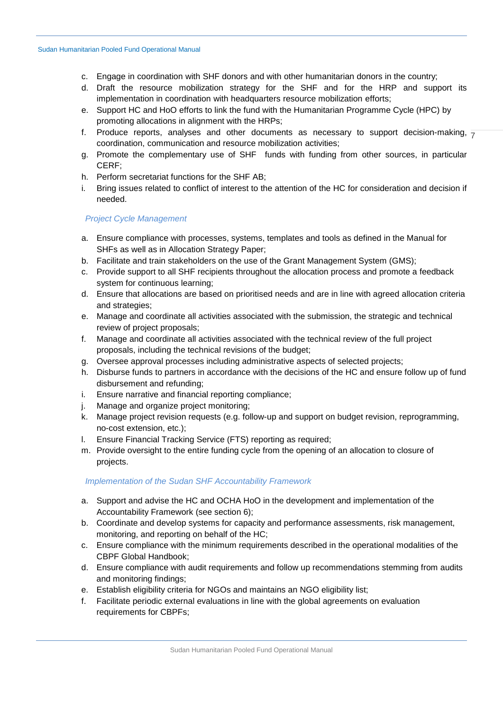- c. Engage in coordination with SHF donors and with other humanitarian donors in the country;
- d. Draft the resource mobilization strategy for the SHF and for the HRP and support its implementation in coordination with headquarters resource mobilization efforts;
- e. Support HC and HoO efforts to link the fund with the Humanitarian Programme Cycle (HPC) by promoting allocations in alignment with the HRPs;
- f. Produce reports, analyses and other documents as necessary to support decision-making,  $\frac{1}{7}$ coordination, communication and resource mobilization activities;
- g. Promote the complementary use of SHF funds with funding from other sources, in particular CERF;
- h. Perform secretariat functions for the SHF AB;
- i. Bring issues related to conflict of interest to the attention of the HC for consideration and decision if needed.

# *Project Cycle Management*

- a. Ensure compliance with processes, systems, templates and tools as defined in the Manual for SHFs as well as in Allocation Strategy Paper;
- b. Facilitate and train stakeholders on the use of the Grant Management System (GMS);
- c. Provide support to all SHF recipients throughout the allocation process and promote a feedback system for continuous learning;
- d. Ensure that allocations are based on prioritised needs and are in line with agreed allocation criteria and strategies;
- e. Manage and coordinate all activities associated with the submission, the strategic and technical review of project proposals;
- f. Manage and coordinate all activities associated with the technical review of the full project proposals, including the technical revisions of the budget;
- g. Oversee approval processes including administrative aspects of selected projects;
- h. Disburse funds to partners in accordance with the decisions of the HC and ensure follow up of fund disbursement and refunding;
- i. Ensure narrative and financial reporting compliance;
- j. Manage and organize project monitoring;
- k. Manage project revision requests (e.g. follow-up and support on budget revision, reprogramming, no-cost extension, etc.);
- l. Ensure Financial Tracking Service (FTS) reporting as required;
- m. Provide oversight to the entire funding cycle from the opening of an allocation to closure of projects.

# *Implementation of the Sudan SHF Accountability Framework*

- a. Support and advise the HC and OCHA HoO in the development and implementation of the Accountability Framework (see section 6);
- b. Coordinate and develop systems for capacity and performance assessments, risk management, monitoring, and reporting on behalf of the HC;
- c. Ensure compliance with the minimum requirements described in the operational modalities of the CBPF Global Handbook;
- d. Ensure compliance with audit requirements and follow up recommendations stemming from audits and monitoring findings;
- e. Establish eligibility criteria for NGOs and maintains an NGO eligibility list;
- f. Facilitate periodic external evaluations in line with the global agreements on evaluation requirements for CBPFs;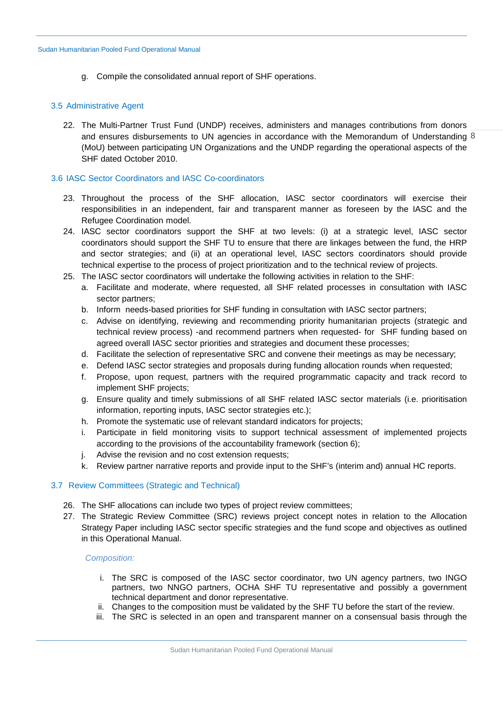g. Compile the consolidated annual report of SHF operations.

## <span id="page-7-0"></span>3.5 Administrative Agent

and ensures disbursements to UN agencies in accordance with the Memorandum of Understanding 8 22. The Multi-Partner Trust Fund (UNDP) receives, administers and manages contributions from donors (MoU) between participating UN Organizations and the UNDP regarding the operational aspects of the SHF dated October 2010.

# <span id="page-7-1"></span>3.6 IASC Sector Coordinators and IASC Co-coordinators

- 23. Throughout the process of the SHF allocation, IASC sector coordinators will exercise their responsibilities in an independent, fair and transparent manner as foreseen by the IASC and the Refugee Coordination model.
- 24. IASC sector coordinators support the SHF at two levels: (i) at a strategic level, IASC sector coordinators should support the SHF TU to ensure that there are linkages between the fund, the HRP and sector strategies; and (ii) at an operational level, IASC sectors coordinators should provide technical expertise to the process of project prioritization and to the technical review of projects.
- 25. The IASC sector coordinators will undertake the following activities in relation to the SHF:
	- a. Facilitate and moderate, where requested, all SHF related processes in consultation with IASC sector partners;
	- b. Inform needs-based priorities for SHF funding in consultation with IASC sector partners;
	- c. Advise on identifying, reviewing and recommending priority humanitarian projects (strategic and technical review process) -and recommend partners when requested- for SHF funding based on agreed overall IASC sector priorities and strategies and document these processes;
	- d. Facilitate the selection of representative SRC and convene their meetings as may be necessary;
	- e. Defend IASC sector strategies and proposals during funding allocation rounds when requested;
	- f. Propose, upon request, partners with the required programmatic capacity and track record to implement SHF projects;
	- g. Ensure quality and timely submissions of all SHF related IASC sector materials (i.e. prioritisation information, reporting inputs, IASC sector strategies etc.);
	- h. Promote the systematic use of relevant standard indicators for projects;
	- i. Participate in field monitoring visits to support technical assessment of implemented projects according to the provisions of the accountability framework (section [6\)](#page-18-0);
	- j. Advise the revision and no cost extension requests;
	- k. Review partner narrative reports and provide input to the SHF's (interim and) annual HC reports.

# <span id="page-7-2"></span>3.7 Review Committees (Strategic and Technical)

- 26. The SHF allocations can include two types of project review committees;
- 27. The Strategic Review Committee (SRC) reviews project concept notes in relation to the Allocation Strategy Paper including IASC sector specific strategies and the fund scope and objectives as outlined in this Operational Manual.

## *Composition:*

- i. The SRC is composed of the IASC sector coordinator, two UN agency partners, two INGO partners, two NNGO partners, OCHA SHF TU representative and possibly a government technical department and donor representative.
- ii. Changes to the composition must be validated by the SHF TU before the start of the review.
- iii. The SRC is selected in an open and transparent manner on a consensual basis through the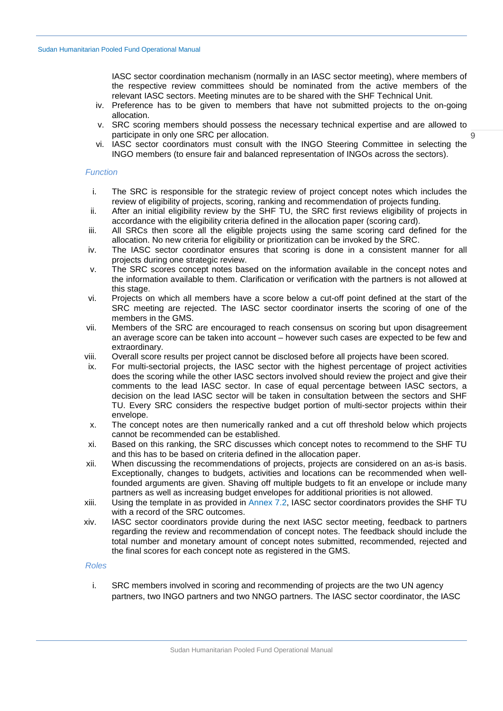IASC sector coordination mechanism (normally in an IASC sector meeting), where members of the respective review committees should be nominated from the active members of the relevant IASC sectors. Meeting minutes are to be shared with the SHF Technical Unit.

- iv. Preference has to be given to members that have not submitted projects to the on-going allocation.
- v. SRC scoring members should possess the necessary technical expertise and are allowed to participate in only one SRC per allocation.
- vi. IASC sector coordinators must consult with the INGO Steering Committee in selecting the INGO members (to ensure fair and balanced representation of INGOs across the sectors).

#### *Function*

- i. The SRC is responsible for the strategic review of project concept notes which includes the review of eligibility of projects, scoring, ranking and recommendation of projects funding.
- ii. After an initial eligibility review by the SHF TU, the SRC first reviews eligibility of projects in accordance with the eligibility criteria defined in the allocation paper (scoring card).
- iii. All SRCs then score all the eligible projects using the same scoring card defined for the allocation. No new criteria for eligibility or prioritization can be invoked by the SRC.
- iv. The IASC sector coordinator ensures that scoring is done in a consistent manner for all projects during one strategic review.
- v. The SRC scores concept notes based on the information available in the concept notes and the information available to them. Clarification or verification with the partners is not allowed at this stage.
- vi. Projects on which all members have a score below a cut-off point defined at the start of the SRC meeting are rejected. The IASC sector coordinator inserts the scoring of one of the members in the GMS.
- vii. Members of the SRC are encouraged to reach consensus on scoring but upon disagreement an average score can be taken into account – however such cases are expected to be few and extraordinary.
- viii. Overall score results per project cannot be disclosed before all projects have been scored.
- ix. For multi-sectorial projects, the IASC sector with the highest percentage of project activities does the scoring while the other IASC sectors involved should review the project and give their comments to the lead IASC sector. In case of equal percentage between IASC sectors, a decision on the lead IASC sector will be taken in consultation between the sectors and SHF TU. Every SRC considers the respective budget portion of multi-sector projects within their envelope.
- x. The concept notes are then numerically ranked and a cut off threshold below which projects cannot be recommended can be established.
- xi. Based on this ranking, the SRC discusses which concept notes to recommend to the SHF TU and this has to be based on criteria defined in the allocation paper.
- xii. When discussing the recommendations of projects, projects are considered on an as-is basis. Exceptionally, changes to budgets, activities and locations can be recommended when wellfounded arguments are given. Shaving off multiple budgets to fit an envelope or include many partners as well as increasing budget envelopes for additional priorities is not allowed.
- xiii. Using the template in as provided in [Annex 7.2,](#page-30-0) IASC sector coordinators provides the SHF TU with a record of the SRC outcomes.
- xiv. IASC sector coordinators provide during the next IASC sector meeting, feedback to partners regarding the review and recommendation of concept notes. The feedback should include the total number and monetary amount of concept notes submitted, recommended, rejected and the final scores for each concept note as registered in the GMS.

#### *Roles*

i. SRC members involved in scoring and recommending of projects are the two UN agency partners, two INGO partners and two NNGO partners. The IASC sector coordinator, the IASC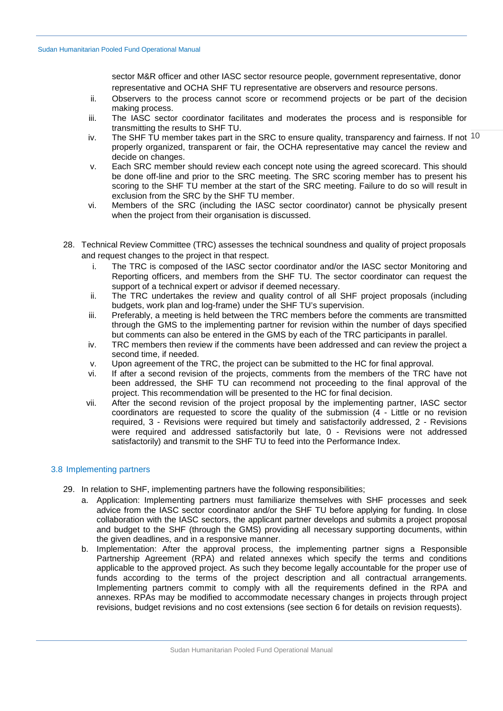sector M&R officer and other IASC sector resource people, government representative, donor representative and OCHA SHF TU representative are observers and resource persons.

- ii. Observers to the process cannot score or recommend projects or be part of the decision making process.
- iii. The IASC sector coordinator facilitates and moderates the process and is responsible for transmitting the results to SHF TU.
- iv. The SHF TU member takes part in the SRC to ensure quality, transparency and fairness. If not  $10$ properly organized, transparent or fair, the OCHA representative may cancel the review and decide on changes.
- v. Each SRC member should review each concept note using the agreed scorecard. This should be done off-line and prior to the SRC meeting. The SRC scoring member has to present his scoring to the SHF TU member at the start of the SRC meeting. Failure to do so will result in exclusion from the SRC by the SHF TU member.
- vi. Members of the SRC (including the IASC sector coordinator) cannot be physically present when the project from their organisation is discussed.
- 28. Technical Review Committee (TRC) assesses the technical soundness and quality of project proposals and request changes to the project in that respect.
	- i. The TRC is composed of the IASC sector coordinator and/or the IASC sector Monitoring and Reporting officers, and members from the SHF TU. The sector coordinator can request the support of a technical expert or advisor if deemed necessary.
	- ii. The TRC undertakes the review and quality control of all SHF project proposals (including budgets, work plan and log-frame) under the SHF TU's supervision.
	- iii. Preferably, a meeting is held between the TRC members before the comments are transmitted through the GMS to the implementing partner for revision within the number of days specified but comments can also be entered in the GMS by each of the TRC participants in parallel.
	- iv. TRC members then review if the comments have been addressed and can review the project a second time, if needed.
	- v. Upon agreement of the TRC, the project can be submitted to the HC for final approval.
	- vi. If after a second revision of the projects, comments from the members of the TRC have not been addressed, the SHF TU can recommend not proceeding to the final approval of the project. This recommendation will be presented to the HC for final decision.
	- vii. After the second revision of the project proposal by the implementing partner, IASC sector coordinators are requested to score the quality of the submission (4 - Little or no revision required, 3 - Revisions were required but timely and satisfactorily addressed, 2 - Revisions were required and addressed satisfactorily but late, 0 - Revisions were not addressed satisfactorily) and transmit to the SHF TU to feed into the Performance Index.

# <span id="page-9-0"></span>3.8 Implementing partners

- 29. In relation to SHF, implementing partners have the following responsibilities;
	- a. Application: Implementing partners must familiarize themselves with SHF processes and seek advice from the IASC sector coordinator and/or the SHF TU before applying for funding. In close collaboration with the IASC sectors, the applicant partner develops and submits a project proposal and budget to the SHF (through the GMS) providing all necessary supporting documents, within the given deadlines, and in a responsive manner.
	- b. Implementation: After the approval process, the implementing partner signs a Responsible Partnership Agreement (RPA) and related annexes which specify the terms and conditions applicable to the approved project. As such they become legally accountable for the proper use of funds according to the terms of the project description and all contractual arrangements. Implementing partners commit to comply with all the requirements defined in the RPA and annexes. RPAs may be modified to accommodate necessary changes in projects through project revisions, budget revisions and no cost extensions (see section 6 for details on revision requests).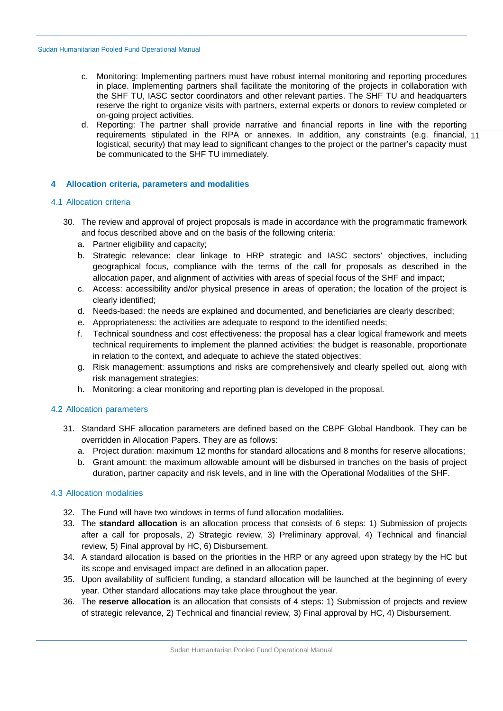- c. Monitoring: Implementing partners must have robust internal monitoring and reporting procedures in place. Implementing partners shall facilitate the monitoring of the projects in collaboration with the SHF TU, IASC sector coordinators and other relevant parties. The SHF TU and headquarters reserve the right to organize visits with partners, external experts or donors to review completed or on-going project activities.
- requirements stipulated in the RPA or annexes. In addition, any constraints (e.g. financial, 11 d. Reporting: The partner shall provide narrative and financial reports in line with the reporting logistical, security) that may lead to significant changes to the project or the partner's capacity must be communicated to the SHF TU immediately.

# <span id="page-10-0"></span>**4 Allocation criteria, parameters and modalities**

## <span id="page-10-1"></span>4.1 Allocation criteria

- 30. The review and approval of project proposals is made in accordance with the programmatic framework and focus described above and on the basis of the following criteria:
	- a. Partner eligibility and capacity;
	- b. Strategic relevance: clear linkage to HRP strategic and IASC sectors' objectives, including geographical focus, compliance with the terms of the call for proposals as described in the allocation paper, and alignment of activities with areas of special focus of the SHF and impact;
	- c. Access: accessibility and/or physical presence in areas of operation; the location of the project is clearly identified;
	- d. Needs-based: the needs are explained and documented, and beneficiaries are clearly described;
	- e. Appropriateness: the activities are adequate to respond to the identified needs;
	- f. Technical soundness and cost effectiveness: the proposal has a clear logical framework and meets technical requirements to implement the planned activities; the budget is reasonable, proportionate in relation to the context, and adequate to achieve the stated objectives;
	- g. Risk management: assumptions and risks are comprehensively and clearly spelled out, along with risk management strategies;
	- h. Monitoring: a clear monitoring and reporting plan is developed in the proposal.

## <span id="page-10-2"></span>4.2 Allocation parameters

- 31. Standard SHF allocation parameters are defined based on the CBPF Global Handbook. They can be overridden in Allocation Papers. They are as follows:
	- a. Project duration: maximum 12 months for standard allocations and 8 months for reserve allocations;
	- b. Grant amount: the maximum allowable amount will be disbursed in tranches on the basis of project duration, partner capacity and risk levels, and in line with the Operational Modalities of the SHF.

## <span id="page-10-3"></span>4.3 Allocation modalities

- 32. The Fund will have two windows in terms of fund allocation modalities.
- 33. The **standard allocation** is an allocation process that consists of 6 steps: 1) Submission of projects after a call for proposals, 2) Strategic review, 3) Preliminary approval, 4) Technical and financial review, 5) Final approval by HC, 6) Disbursement.
- 34. A standard allocation is based on the priorities in the HRP or any agreed upon strategy by the HC but its scope and envisaged impact are defined in an allocation paper.
- 35. Upon availability of sufficient funding, a standard allocation will be launched at the beginning of every year. Other standard allocations may take place throughout the year.
- 36. The **reserve allocation** is an allocation that consists of 4 steps: 1) Submission of projects and review of strategic relevance, 2) Technical and financial review, 3) Final approval by HC, 4) Disbursement.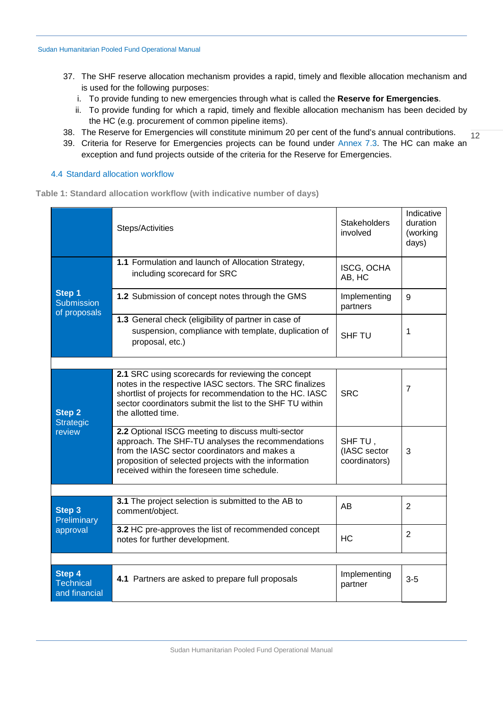- 37. The SHF reserve allocation mechanism provides a rapid, timely and flexible allocation mechanism and is used for the following purposes:
	- i. To provide funding to new emergencies through what is called the **Reserve for Emergencies**.
	- ii. To provide funding for which a rapid, timely and flexible allocation mechanism has been decided by the HC (e.g. procurement of common pipeline items).
- 12 38. The Reserve for Emergencies will constitute minimum 20 per cent of the fund's annual contributions.
- 39. Criteria for Reserve for Emergencies projects can be found under [Annex 7.3.](#page-30-1) The HC can make an exception and fund projects outside of the criteria for the Reserve for Emergencies.

## <span id="page-11-0"></span>4.4 Standard allocation workflow

**Table 1: Standard allocation workflow (with indicative number of days)**

|                                                                                                                                                                  | Steps/Activities                                                                                                                                                                                                                                                | <b>Stakeholders</b><br>involved          | Indicative<br>duration<br>(working<br>days) |
|------------------------------------------------------------------------------------------------------------------------------------------------------------------|-----------------------------------------------------------------------------------------------------------------------------------------------------------------------------------------------------------------------------------------------------------------|------------------------------------------|---------------------------------------------|
|                                                                                                                                                                  | 1.1 Formulation and launch of Allocation Strategy,<br>including scorecard for SRC                                                                                                                                                                               | ISCG, OCHA<br>AB, HC                     |                                             |
| Step 1<br><b>Submission</b><br>of proposals<br>Step 2<br>Strategic<br>review<br>Step 3<br>Preliminary<br>approval<br>Step 4<br><b>Technical</b><br>and financial | 1.2 Submission of concept notes through the GMS                                                                                                                                                                                                                 | Implementing<br>partners                 | 9                                           |
|                                                                                                                                                                  | 1.3 General check (eligibility of partner in case of<br>suspension, compliance with template, duplication of<br>proposal, etc.)                                                                                                                                 | <b>SHF TU</b>                            | 1                                           |
|                                                                                                                                                                  |                                                                                                                                                                                                                                                                 |                                          |                                             |
|                                                                                                                                                                  | 2.1 SRC using scorecards for reviewing the concept<br>notes in the respective IASC sectors. The SRC finalizes<br>shortlist of projects for recommendation to the HC. IASC<br>sector coordinators submit the list to the SHF TU within<br>the allotted time.     | <b>SRC</b>                               | $\overline{7}$                              |
|                                                                                                                                                                  | 2.2 Optional ISCG meeting to discuss multi-sector<br>approach. The SHF-TU analyses the recommendations<br>from the IASC sector coordinators and makes a<br>proposition of selected projects with the information<br>received within the foreseen time schedule. | SHF TU,<br>(IASC sector<br>coordinators) | 3                                           |
|                                                                                                                                                                  |                                                                                                                                                                                                                                                                 |                                          |                                             |
|                                                                                                                                                                  | 3.1 The project selection is submitted to the AB to<br>comment/object.                                                                                                                                                                                          | AB                                       | $\overline{2}$                              |
|                                                                                                                                                                  | 3.2 HC pre-approves the list of recommended concept<br>notes for further development.                                                                                                                                                                           | <b>HC</b>                                | 2                                           |
|                                                                                                                                                                  |                                                                                                                                                                                                                                                                 |                                          |                                             |
|                                                                                                                                                                  | 4.1 Partners are asked to prepare full proposals                                                                                                                                                                                                                | Implementing<br>partner                  | $3-5$                                       |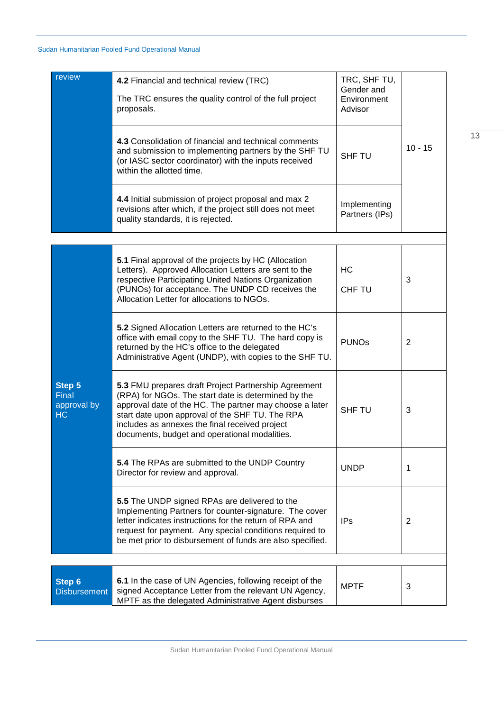| review                                      | 4.2 Financial and technical review (TRC)<br>The TRC ensures the quality control of the full project<br>proposals.                                                                                                                                                                                                            | TRC, SHF TU,<br>Gender and<br>Environment<br>Advisor |           |
|---------------------------------------------|------------------------------------------------------------------------------------------------------------------------------------------------------------------------------------------------------------------------------------------------------------------------------------------------------------------------------|------------------------------------------------------|-----------|
|                                             | 4.3 Consolidation of financial and technical comments<br>and submission to implementing partners by the SHF TU<br>(or IASC sector coordinator) with the inputs received<br>within the allotted time.                                                                                                                         | <b>SHF TU</b>                                        | $10 - 15$ |
|                                             | 4.4 Initial submission of project proposal and max 2<br>revisions after which, if the project still does not meet<br>quality standards, it is rejected.                                                                                                                                                                      | Implementing<br>Partners (IPs)                       |           |
|                                             |                                                                                                                                                                                                                                                                                                                              |                                                      |           |
|                                             | <b>5.1</b> Final approval of the projects by HC (Allocation<br>Letters). Approved Allocation Letters are sent to the<br>respective Participating United Nations Organization<br>(PUNOs) for acceptance. The UNDP CD receives the<br>Allocation Letter for allocations to NGOs.                                               | HC<br><b>CHF TU</b>                                  | 3         |
|                                             | 5.2 Signed Allocation Letters are returned to the HC's<br>office with email copy to the SHF TU. The hard copy is<br>returned by the HC's office to the delegated<br>Administrative Agent (UNDP), with copies to the SHF TU.                                                                                                  | <b>PUNOs</b>                                         | 2         |
| <b>Step 5</b><br>Final<br>approval by<br>HC | 5.3 FMU prepares draft Project Partnership Agreement<br>(RPA) for NGOs. The start date is determined by the<br>approval date of the HC. The partner may choose a later<br>start date upon approval of the SHF TU. The RPA<br>includes as annexes the final received project<br>documents, budget and operational modalities. | <b>SHF TU</b>                                        | 3         |
|                                             | 5.4 The RPAs are submitted to the UNDP Country<br>Director for review and approval.                                                                                                                                                                                                                                          | <b>UNDP</b>                                          | 1         |
|                                             | 5.5 The UNDP signed RPAs are delivered to the<br>Implementing Partners for counter-signature. The cover<br>letter indicates instructions for the return of RPA and<br>request for payment. Any special conditions required to<br>be met prior to disbursement of funds are also specified.                                   | <b>IPs</b>                                           | 2         |
|                                             |                                                                                                                                                                                                                                                                                                                              |                                                      |           |
| <b>Step 6</b><br><b>Disbursement</b>        | 6.1 In the case of UN Agencies, following receipt of the<br>signed Acceptance Letter from the relevant UN Agency,<br>MPTF as the delegated Administrative Agent disburses                                                                                                                                                    | <b>MPTF</b>                                          | 3         |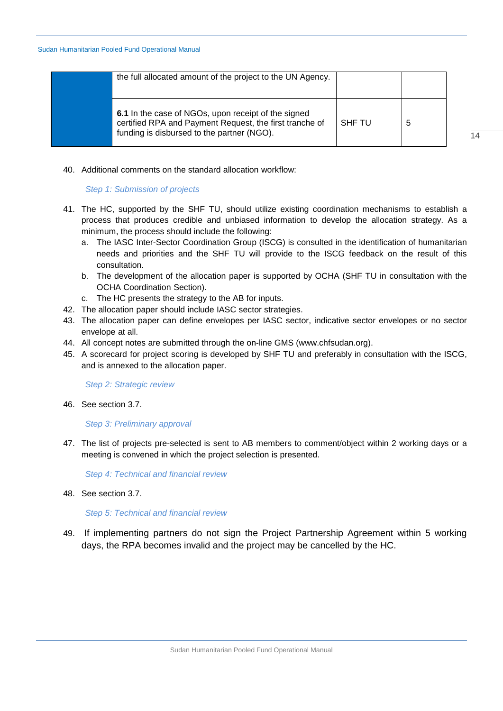| the full allocated amount of the project to the UN Agency.                                                                                                   |        |   |
|--------------------------------------------------------------------------------------------------------------------------------------------------------------|--------|---|
| 6.1 In the case of NGOs, upon receipt of the signed<br>certified RPA and Payment Request, the first tranche of<br>funding is disbursed to the partner (NGO). | SHF TU | 5 |

14

# 40. Additional comments on the standard allocation workflow:

# *Step 1: Submission of projects*

- 41. The HC, supported by the SHF TU, should utilize existing coordination mechanisms to establish a process that produces credible and unbiased information to develop the allocation strategy. As a minimum, the process should include the following:
	- a. The IASC Inter-Sector Coordination Group (ISCG) is consulted in the identification of humanitarian needs and priorities and the SHF TU will provide to the ISCG feedback on the result of this consultation.
	- b. The development of the allocation paper is supported by OCHA (SHF TU in consultation with the OCHA Coordination Section).
	- c. The HC presents the strategy to the AB for inputs.
- 42. The allocation paper should include IASC sector strategies.
- 43. The allocation paper can define envelopes per IASC sector, indicative sector envelopes or no sector envelope at all.
- 44. All concept notes are submitted through the on-line GMS (www.chfsudan.org).
- 45. A scorecard for project scoring is developed by SHF TU and preferably in consultation with the ISCG, and is annexed to the allocation paper.

*Step 2: Strategic review*

46. See section [3.7.](#page-7-2)

# *Step 3: Preliminary approval*

47. The list of projects pre-selected is sent to AB members to comment/object within 2 working days or a meeting is convened in which the project selection is presented.

*Step 4: Technical and financial review*

48. See section [3.7.](#page-7-2)

*Step 5: Technical and financial review*

49. If implementing partners do not sign the Project Partnership Agreement within 5 working days, the RPA becomes invalid and the project may be cancelled by the HC.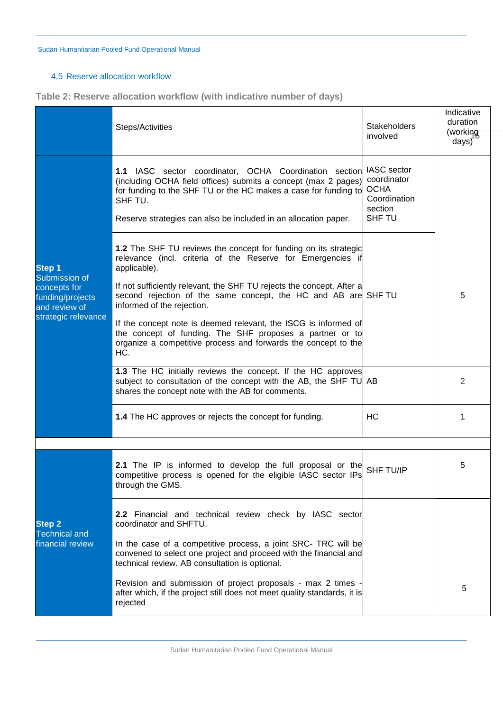# <span id="page-14-0"></span>4.5 Reserve allocation workflow

**Table 2: Reserve allocation workflow (with indicative number of days)**

|                                                                                                            | Steps/Activities                                                                                                                                                                                                                                                                                                                                                                                                                                                                                                                | <b>Stakeholders</b><br>involved                                                       | Indicative<br>duration<br>(working<br>$\frac{days}{}$ |
|------------------------------------------------------------------------------------------------------------|---------------------------------------------------------------------------------------------------------------------------------------------------------------------------------------------------------------------------------------------------------------------------------------------------------------------------------------------------------------------------------------------------------------------------------------------------------------------------------------------------------------------------------|---------------------------------------------------------------------------------------|-------------------------------------------------------|
| <b>Technical and</b>                                                                                       | <b>1.1</b> IASC sector coordinator, OCHA Coordination section<br>(including OCHA field offices) submits a concept (max 2 pages)<br>for funding to the SHF TU or the HC makes a case for funding to<br>SHF TU.<br>Reserve strategies can also be included in an allocation paper.                                                                                                                                                                                                                                                | <b>IASC</b> sector<br>coordinator<br><b>OCHA</b><br>Coordination<br>section<br>SHF TU |                                                       |
| <b>Step 1</b><br>Submission of<br>concepts for<br>funding/projects<br>and review of<br>strategic relevance | 1.2 The SHF TU reviews the concept for funding on its strategic<br>relevance (incl. criteria of the Reserve for Emergencies if<br>applicable).<br>If not sufficiently relevant, the SHF TU rejects the concept. After a<br>second rejection of the same concept, the HC and AB are SHF TU<br>informed of the rejection.<br>If the concept note is deemed relevant, the ISCG is informed of<br>the concept of funding. The SHF proposes a partner or to<br>organize a competitive process and forwards the concept to the<br>HC. |                                                                                       | 5                                                     |
|                                                                                                            | 1.3 The HC initially reviews the concept. If the HC approves<br>subject to consultation of the concept with the AB, the SHF TU AB<br>shares the concept note with the AB for comments.                                                                                                                                                                                                                                                                                                                                          |                                                                                       | 2                                                     |
|                                                                                                            | <b>1.4</b> The HC approves or rejects the concept for funding.                                                                                                                                                                                                                                                                                                                                                                                                                                                                  | НC                                                                                    | 1                                                     |
|                                                                                                            | 2.1 The IP is informed to develop the full proposal or the<br>competitive process is opened for the eligible IASC sector IPs<br>through the GMS.                                                                                                                                                                                                                                                                                                                                                                                | <b>SHF TU/IP</b>                                                                      | 5                                                     |
| <b>Step 2</b>                                                                                              | 2.2 Financial and technical review check by IASC sector<br>coordinator and SHFTU.                                                                                                                                                                                                                                                                                                                                                                                                                                               |                                                                                       |                                                       |
| financial review                                                                                           | In the case of a competitive process, a joint SRC- TRC will be<br>convened to select one project and proceed with the financial and<br>technical review. AB consultation is optional.                                                                                                                                                                                                                                                                                                                                           |                                                                                       |                                                       |
|                                                                                                            | Revision and submission of project proposals - max 2 times<br>after which, if the project still does not meet quality standards, it is<br>rejected                                                                                                                                                                                                                                                                                                                                                                              |                                                                                       | 5                                                     |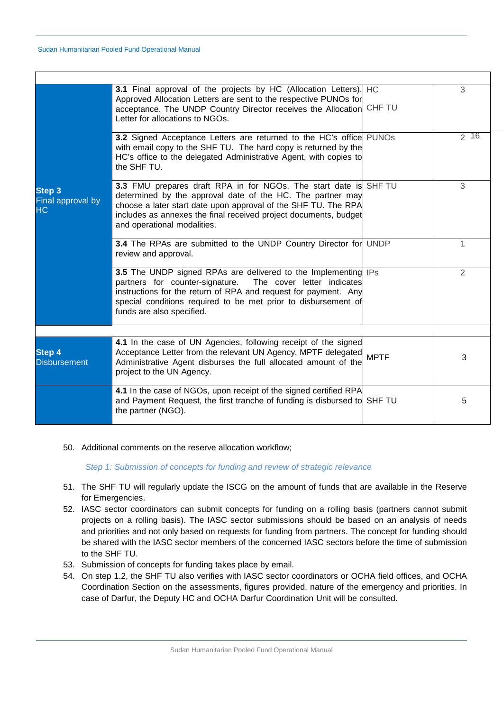|                                                 | 3.1 Final approval of the projects by HC (Allocation Letters). HC<br>Approved Allocation Letters are sent to the respective PUNOs for<br>acceptance. The UNDP Country Director receives the Allocation CHF TU<br>Letter for allocations to NGOs.                                                    |             | 3        |
|-------------------------------------------------|-----------------------------------------------------------------------------------------------------------------------------------------------------------------------------------------------------------------------------------------------------------------------------------------------------|-------------|----------|
|                                                 | 3.2 Signed Acceptance Letters are returned to the HC's office PUNOs<br>with email copy to the SHF TU. The hard copy is returned by the<br>HC's office to the delegated Administrative Agent, with copies to<br>the SHF TU.                                                                          |             | $2^{16}$ |
| <b>Step 3</b><br>Final approval by<br><b>HC</b> | 3.3 FMU prepares draft RPA in for NGOs. The start date is SHF TU<br>determined by the approval date of the HC. The partner may<br>choose a later start date upon approval of the SHF TU. The RPA<br>includes as annexes the final received project documents, budget<br>and operational modalities. |             | 3        |
|                                                 | 3.4 The RPAs are submitted to the UNDP Country Director for UNDP<br>review and approval.                                                                                                                                                                                                            |             | 1        |
|                                                 | 3.5 The UNDP signed RPAs are delivered to the Implementing IPs<br>partners for counter-signature.<br>The cover letter indicates<br>instructions for the return of RPA and request for payment. Any<br>special conditions required to be met prior to disbursement of<br>funds are also specified.   |             | 2        |
|                                                 |                                                                                                                                                                                                                                                                                                     |             |          |
| <b>Step 4</b><br><b>Disbursement</b>            | 4.1 In the case of UN Agencies, following receipt of the signed<br>Acceptance Letter from the relevant UN Agency, MPTF delegated<br>Administrative Agent disburses the full allocated amount of the<br>project to the UN Agency.                                                                    | <b>MPTF</b> | 3        |
|                                                 | 4.1 In the case of NGOs, upon receipt of the signed certified RPA<br>and Payment Request, the first tranche of funding is disbursed to SHF TU<br>the partner (NGO).                                                                                                                                 |             | 5        |

50. Additional comments on the reserve allocation workflow;

*Step 1: Submission of concepts for funding and review of strategic relevance*

- 51. The SHF TU will regularly update the ISCG on the amount of funds that are available in the Reserve for Emergencies.
- 52. IASC sector coordinators can submit concepts for funding on a rolling basis (partners cannot submit projects on a rolling basis). The IASC sector submissions should be based on an analysis of needs and priorities and not only based on requests for funding from partners. The concept for funding should be shared with the IASC sector members of the concerned IASC sectors before the time of submission to the SHF TU.
- 53. Submission of concepts for funding takes place by email.
- 54. On step 1.2, the SHF TU also verifies with IASC sector coordinators or OCHA field offices, and OCHA Coordination Section on the assessments, figures provided, nature of the emergency and priorities. In case of Darfur, the Deputy HC and OCHA Darfur Coordination Unit will be consulted.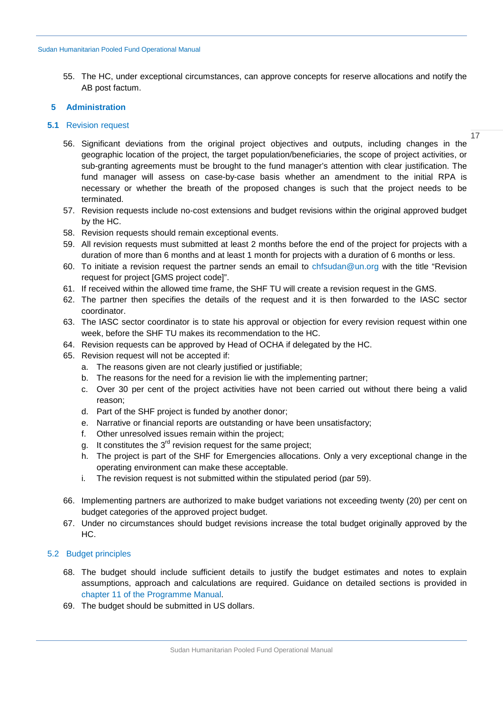55. The HC, under exceptional circumstances, can approve concepts for reserve allocations and notify the AB post factum.

## <span id="page-16-0"></span>**5 Administration**

# <span id="page-16-1"></span>**5.1** Revision request

17

- 56. Significant deviations from the original project objectives and outputs, including changes in the geographic location of the project, the target population/beneficiaries, the scope of project activities, or sub-granting agreements must be brought to the fund manager's attention with clear justification. The fund manager will assess on case-by-case basis whether an amendment to the initial RPA is necessary or whether the breath of the proposed changes is such that the project needs to be terminated.
- 57. Revision requests include no-cost extensions and budget revisions within the original approved budget by the HC.
- 58. Revision requests should remain exceptional events.
- 59. All revision requests must submitted at least 2 months before the end of the project for projects with a duration of more than 6 months and at least 1 month for projects with a duration of 6 months or less.
- 60. To initiate a revision request the partner sends an email to [chfsudan@un.org](mailto:chfsudan@un.org) with the title "Revision request for project [GMS project code]".
- 61. If received within the allowed time frame, the SHF TU will create a revision request in the GMS.
- 62. The partner then specifies the details of the request and it is then forwarded to the IASC sector coordinator.
- 63. The IASC sector coordinator is to state his approval or objection for every revision request within one week, before the SHF TU makes its recommendation to the HC.
- 64. Revision requests can be approved by Head of OCHA if delegated by the HC.
- 65. Revision request will not be accepted if:
	- a. The reasons given are not clearly justified or justifiable;
	- b. The reasons for the need for a revision lie with the implementing partner;
	- c. Over 30 per cent of the project activities have not been carried out without there being a valid reason;
	- d. Part of the SHF project is funded by another donor;
	- e. Narrative or financial reports are outstanding or have been unsatisfactory;
	- f. Other unresolved issues remain within the project;
	- g. It constitutes the  $3<sup>rd</sup>$  revision request for the same project;
	- h. The project is part of the SHF for Emergencies allocations. Only a very exceptional change in the operating environment can make these acceptable.
	- i. The revision request is not submitted within the stipulated period (par 59).
- 66. Implementing partners are authorized to make budget variations not exceeding twenty (20) per cent on budget categories of the approved project budget.
- 67. Under no circumstances should budget revisions increase the total budget originally approved by the HC.

# <span id="page-16-2"></span>5.2 Budget principles

- 68. The budget should include sufficient details to justify the budget estimates and notes to explain assumptions, approach and calculations are required. Guidance on detailed sections is provided in [chapter](#page-45-0) 11 of the Programme Manual.
- 69. The budget should be submitted in US dollars.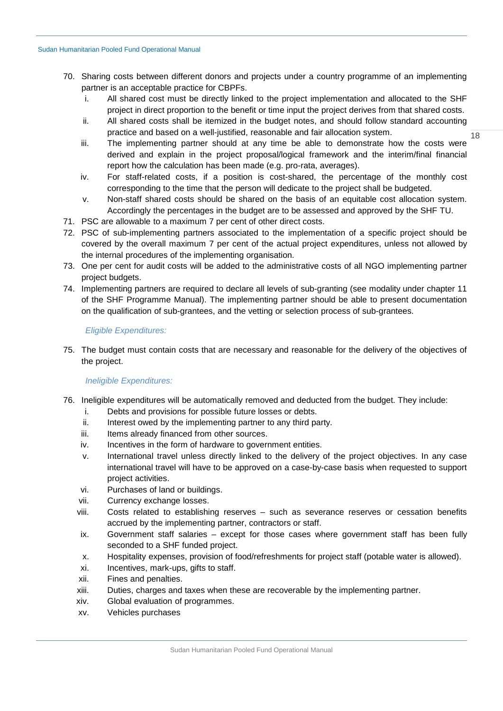- 70. Sharing costs between different donors and projects under a country programme of an implementing partner is an acceptable practice for CBPFs.
	- i. All shared cost must be directly linked to the project implementation and allocated to the SHF project in direct proportion to the benefit or time input the project derives from that shared costs.
	- ii. All shared costs shall be itemized in the budget notes, and should follow standard accounting practice and based on a well-justified, reasonable and fair allocation system.
	- iii. The implementing partner should at any time be able to demonstrate how the costs were derived and explain in the project proposal/logical framework and the interim/final financial report how the calculation has been made (e.g. pro-rata, averages).
	- iv. For staff-related costs, if a position is cost-shared, the percentage of the monthly cost corresponding to the time that the person will dedicate to the project shall be budgeted.
	- v. Non-staff shared costs should be shared on the basis of an equitable cost allocation system. Accordingly the percentages in the budget are to be assessed and approved by the SHF TU.
- 71. PSC are allowable to a maximum 7 per cent of other direct costs.
- 72. PSC of sub-implementing partners associated to the implementation of a specific project should be covered by the overall maximum 7 per cent of the actual project expenditures, unless not allowed by the internal procedures of the implementing organisation.
- 73. One per cent for audit costs will be added to the administrative costs of all NGO implementing partner project budgets.
- 74. Implementing partners are required to declare all levels of sub-granting (see modality under chapter 11 of the SHF Programme Manual). The implementing partner should be able to present documentation on the qualification of sub-grantees, and the vetting or selection process of sub-grantees.

#### *Eligible Expenditures:*

75. The budget must contain costs that are necessary and reasonable for the delivery of the objectives of the project.

## *Ineligible Expenditures:*

- 76. Ineligible expenditures will be automatically removed and deducted from the budget. They include:
	- i. Debts and provisions for possible future losses or debts.
	- ii. Interest owed by the implementing partner to any third party.
	- iii. Items already financed from other sources.
	- iv. Incentives in the form of hardware to government entities.
	- v. International travel unless directly linked to the delivery of the project objectives. In any case international travel will have to be approved on a case-by-case basis when requested to support project activities.
	- vi. Purchases of land or buildings.
	- vii. Currency exchange losses.
	- viii. Costs related to establishing reserves such as severance reserves or cessation benefits accrued by the implementing partner, contractors or staff.
	- ix. Government staff salaries except for those cases where government staff has been fully seconded to a SHF funded project.
	- x. Hospitality expenses, provision of food/refreshments for project staff (potable water is allowed).
	- xi. Incentives, mark-ups, gifts to staff.
	- xii. Fines and penalties.
	- xiii. Duties, charges and taxes when these are recoverable by the implementing partner.
	- xiv. Global evaluation of programmes.
	- xv. Vehicles purchases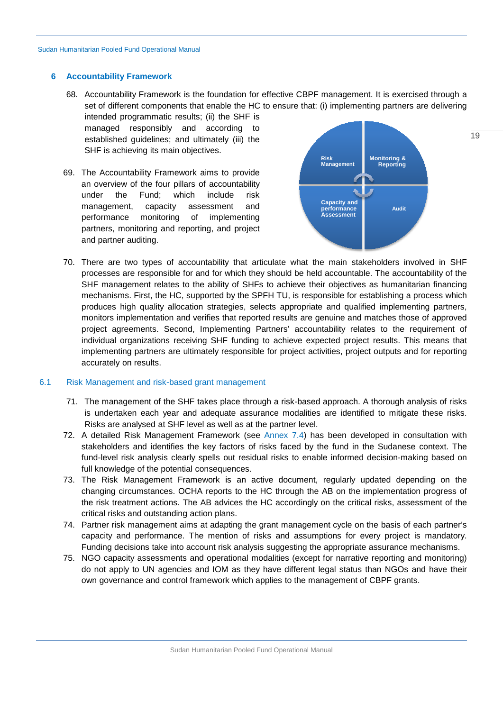#### <span id="page-18-0"></span>**6 Accountability Framework**

68. Accountability Framework is the foundation for effective CBPF management. It is exercised through a set of different components that enable the HC to ensure that: (i) implementing partners are delivering intended programmatic results; (ii) the SHF is

managed responsibly and according to established guidelines; and ultimately (iii) the SHF is achieving its main objectives.

69. The Accountability Framework aims to provide an overview of the four pillars of accountability under the Fund; which include risk management, capacity assessment and performance monitoring of implementing partners, monitoring and reporting, and project and partner auditing.



70. There are two types of accountability that articulate what the main stakeholders involved in SHF processes are responsible for and for which they should be held accountable. The accountability of the SHF management relates to the ability of SHFs to achieve their objectives as humanitarian financing mechanisms. First, the HC, supported by the SPFH TU, is responsible for establishing a process which produces high quality allocation strategies, selects appropriate and qualified implementing partners, monitors implementation and verifies that reported results are genuine and matches those of approved project agreements. Second, Implementing Partners' accountability relates to the requirement of individual organizations receiving SHF funding to achieve expected project results. This means that implementing partners are ultimately responsible for project activities, project outputs and for reporting accurately on results.

## <span id="page-18-1"></span>6.1 Risk Management and risk-based grant management

- 71. The management of the SHF takes place through a risk-based approach. A thorough analysis of risks is undertaken each year and adequate assurance modalities are identified to mitigate these risks. Risks are analysed at SHF level as well as at the partner level.
- 72. A detailed Risk Management Framework (see [Annex 7.4\)](#page-31-0) has been developed in consultation with stakeholders and identifies the key factors of risks faced by the fund in the Sudanese context. The fund-level risk analysis clearly spells out residual risks to enable informed decision-making based on full knowledge of the potential consequences.
- 73. The Risk Management Framework is an active document, regularly updated depending on the changing circumstances. OCHA reports to the HC through the AB on the implementation progress of the risk treatment actions. The AB advices the HC accordingly on the critical risks, assessment of the critical risks and outstanding action plans.
- 74. Partner risk management aims at adapting the grant management cycle on the basis of each partner's capacity and performance. The mention of risks and assumptions for every project is mandatory. Funding decisions take into account risk analysis suggesting the appropriate assurance mechanisms.
- 75. NGO capacity assessments and operational modalities (except for narrative reporting and monitoring) do not apply to UN agencies and IOM as they have different legal status than NGOs and have their own governance and control framework which applies to the management of CBPF grants.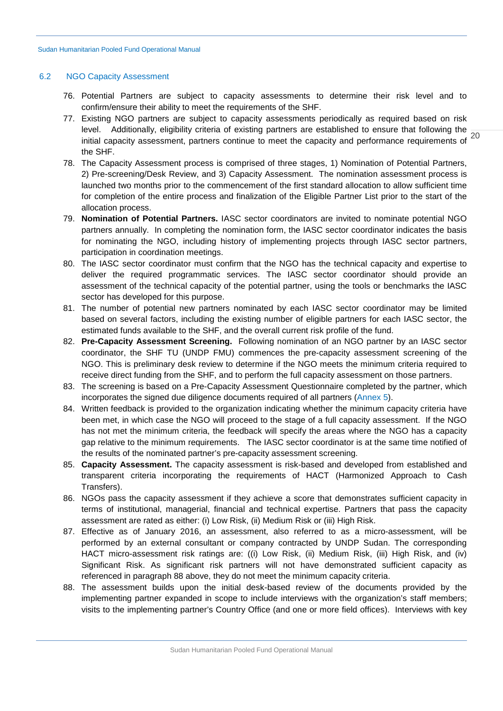#### <span id="page-19-0"></span>6.2 NGO Capacity Assessment

- 76. Potential Partners are subject to capacity assessments to determine their risk level and to confirm/ensure their ability to meet the requirements of the SHF.
- initial capacity assessment, partners continue to meet the capacity and performance requirements of 20 77. Existing NGO partners are subject to capacity assessments periodically as required based on risk level. Additionally, eligibility criteria of existing partners are established to ensure that following the the SHF.
- 78. The Capacity Assessment process is comprised of three stages, 1) Nomination of Potential Partners, 2) Pre-screening/Desk Review, and 3) Capacity Assessment. The nomination assessment process is launched two months prior to the commencement of the first standard allocation to allow sufficient time for completion of the entire process and finalization of the Eligible Partner List prior to the start of the allocation process.
- 79. **Nomination of Potential Partners.** IASC sector coordinators are invited to nominate potential NGO partners annually. In completing the nomination form, the IASC sector coordinator indicates the basis for nominating the NGO, including history of implementing projects through IASC sector partners, participation in coordination meetings.
- 80. The IASC sector coordinator must confirm that the NGO has the technical capacity and expertise to deliver the required programmatic services. The IASC sector coordinator should provide an assessment of the technical capacity of the potential partner, using the tools or benchmarks the IASC sector has developed for this purpose.
- 81. The number of potential new partners nominated by each IASC sector coordinator may be limited based on several factors, including the existing number of eligible partners for each IASC sector, the estimated funds available to the SHF, and the overall current risk profile of the fund.
- 82. **Pre-Capacity Assessment Screening.** Following nomination of an NGO partner by an IASC sector coordinator, the SHF TU (UNDP FMU) commences the pre-capacity assessment screening of the NGO. This is preliminary desk review to determine if the NGO meets the minimum criteria required to receive direct funding from the SHF, and to perform the full capacity assessment on those partners.
- 83. The screening is based on a Pre-Capacity Assessment Questionnaire completed by the partner, which incorporates the signed due diligence documents required of all partners [\(Annex 5\)](#page-35-1).
- 84. Written feedback is provided to the organization indicating whether the minimum capacity criteria have been met, in which case the NGO will proceed to the stage of a full capacity assessment. If the NGO has not met the minimum criteria, the feedback will specify the areas where the NGO has a capacity gap relative to the minimum requirements. The IASC sector coordinator is at the same time notified of the results of the nominated partner's pre-capacity assessment screening.
- 85. **Capacity Assessment.** The capacity assessment is risk-based and developed from established and transparent criteria incorporating the requirements of HACT (Harmonized Approach to Cash Transfers).
- 86. NGOs pass the capacity assessment if they achieve a score that demonstrates sufficient capacity in terms of institutional, managerial, financial and technical expertise. Partners that pass the capacity assessment are rated as either: (i) Low Risk, (ii) Medium Risk or (iii) High Risk.
- 87. Effective as of January 2016, an assessment, also referred to as a micro-assessment, will be performed by an external consultant or company contracted by UNDP Sudan. The corresponding HACT micro-assessment risk ratings are: ((i) Low Risk, (ii) Medium Risk, (iii) High Risk, and (iv) Significant Risk. As significant risk partners will not have demonstrated sufficient capacity as referenced in paragraph 88 above, they do not meet the minimum capacity criteria.
- 88. The assessment builds upon the initial desk-based review of the documents provided by the implementing partner expanded in scope to include interviews with the organization's staff members; visits to the implementing partner's Country Office (and one or more field offices). Interviews with key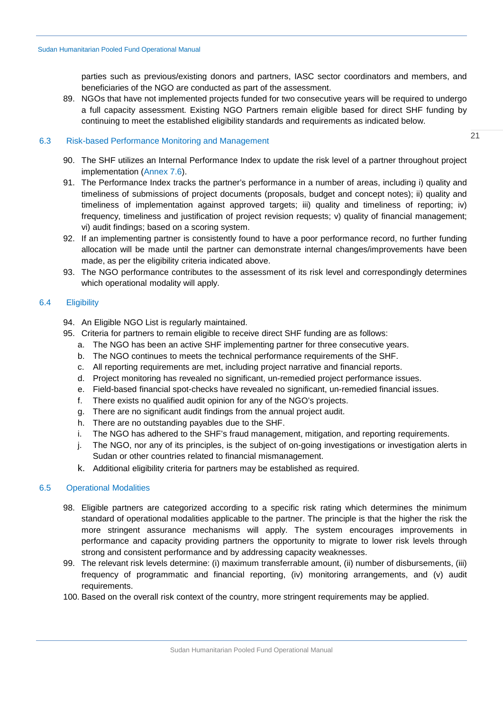parties such as previous/existing donors and partners, IASC sector coordinators and members, and beneficiaries of the NGO are conducted as part of the assessment.

89. NGOs that have not implemented projects funded for two consecutive years will be required to undergo a full capacity assessment. Existing NGO Partners remain eligible based for direct SHF funding by continuing to meet the established eligibility standards and requirements as indicated below.

# <span id="page-20-0"></span>6.3 Risk-based Performance Monitoring and Management

- 90. The SHF utilizes an Internal Performance Index to update the risk level of a partner throughout project implementation [\(Annex 7.6\)](#page-35-0).
- 91. The Performance Index tracks the partner's performance in a number of areas, including i) quality and timeliness of submissions of project documents (proposals, budget and concept notes); ii) quality and timeliness of implementation against approved targets; iii) quality and timeliness of reporting; iv) frequency, timeliness and justification of project revision requests; v) quality of financial management; vi) audit findings; based on a scoring system.
- 92. If an implementing partner is consistently found to have a poor performance record, no further funding allocation will be made until the partner can demonstrate internal changes/improvements have been made, as per the eligibility criteria indicated above.
- 93. The NGO performance contributes to the assessment of its risk level and correspondingly determines which operational modality will apply.

# <span id="page-20-1"></span>6.4 Eligibility

- 94. An Eligible NGO List is regularly maintained.
- 95. Criteria for partners to remain eligible to receive direct SHF funding are as follows:
	- a. The NGO has been an active SHF implementing partner for three consecutive years.
	- b. The NGO continues to meets the technical performance requirements of the SHF.
	- c. All reporting requirements are met, including project narrative and financial reports.
	- d. Project monitoring has revealed no significant, un-remedied project performance issues.
	- e. Field-based financial spot-checks have revealed no significant, un-remedied financial issues.
	- f. There exists no qualified audit opinion for any of the NGO's projects.
	- g. There are no significant audit findings from the annual project audit.
	- h. There are no outstanding payables due to the SHF.
	- i. The NGO has adhered to the SHF's fraud management, mitigation, and reporting requirements.
	- j. The NGO, nor any of its principles, is the subject of on-going investigations or investigation alerts in Sudan or other countries related to financial mismanagement.
	- k. Additional eligibility criteria for partners may be established as required.

# <span id="page-20-2"></span>6.5 Operational Modalities

- 98. Eligible partners are categorized according to a specific risk rating which determines the minimum standard of operational modalities applicable to the partner. The principle is that the higher the risk the more stringent assurance mechanisms will apply. The system encourages improvements in performance and capacity providing partners the opportunity to migrate to lower risk levels through strong and consistent performance and by addressing capacity weaknesses.
- 99. The relevant risk levels determine: (i) maximum transferrable amount, (ii) number of disbursements, (iii) frequency of programmatic and financial reporting, (iv) monitoring arrangements, and (v) audit requirements.
- 100. Based on the overall risk context of the country, more stringent requirements may be applied.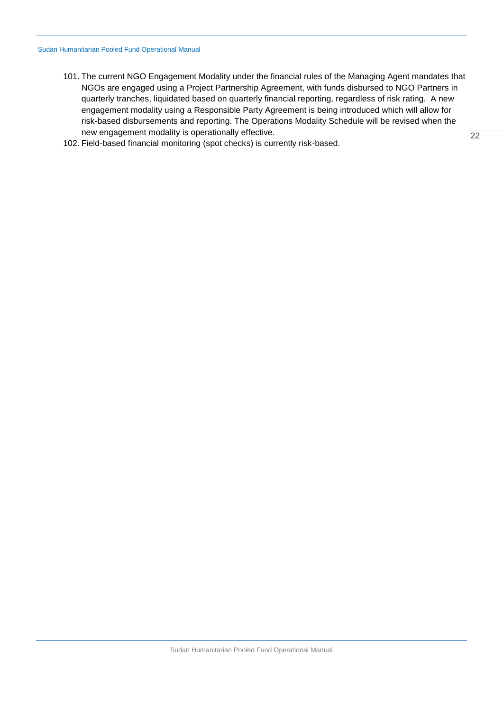- 101. The current NGO Engagement Modality under the financial rules of the Managing Agent mandates that NGOs are engaged using a Project Partnership Agreement, with funds disbursed to NGO Partners in quarterly tranches, liquidated based on quarterly financial reporting, regardless of risk rating. A new engagement modality using a Responsible Party Agreement is being introduced which will allow for risk-based disbursements and reporting. The Operations Modality Schedule will be revised when the new engagement modality is operationally effective.
- 102. Field-based financial monitoring (spot checks) is currently risk-based.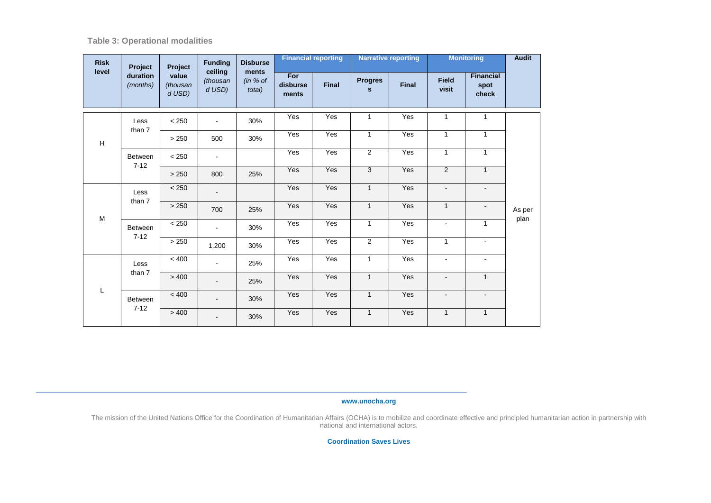**Table 3: Operational modalities**

| <b>Risk</b><br>level | Project                          | Project                     | <b>Funding</b>                | <b>Disburse</b><br>ments |                          | <b>Financial reporting</b> |                                | <b>Narrative reporting</b> |                       | <b>Monitoring</b>                 | <b>Audit</b> |  |
|----------------------|----------------------------------|-----------------------------|-------------------------------|--------------------------|--------------------------|----------------------------|--------------------------------|----------------------------|-----------------------|-----------------------------------|--------------|--|
|                      | duration<br>(months)             | value<br>(thousan<br>d USD) | ceiling<br>(thousan<br>d USD) | (in % of<br>total)       | For<br>disburse<br>ments | <b>Final</b>               | <b>Progres</b><br>$\mathbf{s}$ | Final                      | <b>Field</b><br>visit | <b>Financial</b><br>spot<br>check |              |  |
|                      | Less                             | < 250                       | $\blacksquare$                | 30%                      | Yes                      | Yes                        | 1                              | Yes                        | $\mathbf{1}$          | $\mathbf{1}$                      |              |  |
| н                    | than 7                           | > 250                       | 500                           | 30%                      | Yes                      | Yes                        | $\mathbf{1}$                   | Yes                        | $\mathbf{1}$          | $\mathbf{1}$                      |              |  |
|                      |                                  | <b>Between</b>              | < 250                         | ۰.                       |                          | Yes                        | Yes                            | 2                          | Yes                   | $\mathbf{1}$                      | $\mathbf{1}$ |  |
|                      | $7 - 12$                         | > 250                       | 800                           | 25%                      | Yes                      | Yes                        | 3                              | Yes                        | $\overline{2}$        | $\mathbf{1}$                      |              |  |
|                      | Less<br>than 7<br><b>Between</b> | < 250                       |                               |                          | Yes                      | Yes                        | $\mathbf{1}$                   | Yes                        | $\blacksquare$        | $\blacksquare$                    |              |  |
| M                    |                                  | > 250                       | 700                           | 25%                      | Yes                      | Yes                        | $\mathbf{1}$                   | Yes                        | $\mathbf{1}$          | $\sim$                            | As per       |  |
|                      |                                  | < 250                       | $\blacksquare$                | 30%                      | Yes                      | Yes                        | $\mathbf{1}$                   | Yes                        | $\blacksquare$        | $\mathbf{1}$                      | plan         |  |
|                      | $7 - 12$                         | > 250                       | 1.200                         | 30%                      | Yes                      | Yes                        | $\overline{2}$                 | Yes                        | $\mathbf{1}$          | $\blacksquare$                    |              |  |
|                      | Less                             | < 400                       | ٠                             | 25%                      | Yes                      | Yes                        | $\mathbf{1}$                   | Yes                        | $\mathbf{r}$          | $\sim$                            |              |  |
| L                    | than 7                           | > 400                       | ۰                             | 25%                      | Yes                      | Yes                        | $\mathbf{1}$                   | Yes                        | $\blacksquare$        | $\mathbf{1}$                      |              |  |
|                      | Between                          | < 400                       | ۰.                            | 30%                      | Yes                      | Yes                        | $\mathbf{1}$                   | Yes                        | $\blacksquare$        | $\sim$                            |              |  |
|                      | $7 - 12$                         | > 400                       | $\blacksquare$                | 30%                      | Yes                      | Yes                        | $\mathbf{1}$                   | Yes                        | $\mathbf{1}$          | $\mathbf{1}$                      |              |  |

**www.unocha.org**

The mission of the United Nations Office for the Coordination of Humanitarian Affairs (OCHA) is to mobilize and coordinate effective and principled humanitarian action in partnership with national and international actors.

**Coordination Saves Lives**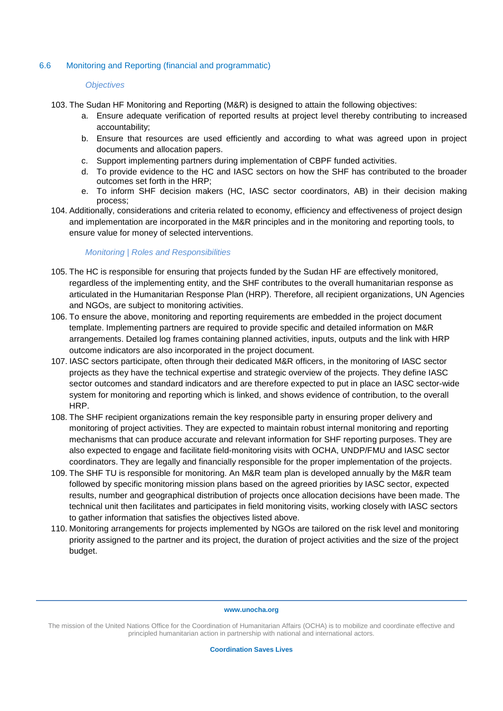# <span id="page-23-0"></span>6.6 Monitoring and Reporting (financial and programmatic)

## *Objectives*

- 103. The Sudan HF Monitoring and Reporting (M&R) is designed to attain the following objectives:
	- a. Ensure adequate verification of reported results at project level thereby contributing to increased accountability;
	- b. Ensure that resources are used efficiently and according to what was agreed upon in project documents and allocation papers.
	- c. Support implementing partners during implementation of CBPF funded activities.
	- d. To provide evidence to the HC and IASC sectors on how the SHF has contributed to the broader outcomes set forth in the HRP;
	- e. To inform SHF decision makers (HC, IASC sector coordinators, AB) in their decision making process;
- 104. Additionally, considerations and criteria related to economy, efficiency and effectiveness of project design and implementation are incorporated in the M&R principles and in the monitoring and reporting tools, to ensure value for money of selected interventions.

## *Monitoring | Roles and Responsibilities*

- 105. The HC is responsible for ensuring that projects funded by the Sudan HF are effectively monitored, regardless of the implementing entity, and the SHF contributes to the overall humanitarian response as articulated in the Humanitarian Response Plan (HRP). Therefore, all recipient organizations, UN Agencies and NGOs, are subject to monitoring activities.
- 106. To ensure the above, monitoring and reporting requirements are embedded in the project document template. Implementing partners are required to provide specific and detailed information on M&R arrangements. Detailed log frames containing planned activities, inputs, outputs and the link with HRP outcome indicators are also incorporated in the project document.
- 107. IASC sectors participate, often through their dedicated M&R officers, in the monitoring of IASC sector projects as they have the technical expertise and strategic overview of the projects. They define IASC sector outcomes and standard indicators and are therefore expected to put in place an IASC sector-wide system for monitoring and reporting which is linked, and shows evidence of contribution, to the overall HRP.
- 108. The SHF recipient organizations remain the key responsible party in ensuring proper delivery and monitoring of project activities. They are expected to maintain robust internal monitoring and reporting mechanisms that can produce accurate and relevant information for SHF reporting purposes. They are also expected to engage and facilitate field-monitoring visits with OCHA, UNDP/FMU and IASC sector coordinators. They are legally and financially responsible for the proper implementation of the projects.
- 109. The SHF TU is responsible for monitoring. An M&R team plan is developed annually by the M&R team followed by specific monitoring mission plans based on the agreed priorities by IASC sector, expected results, number and geographical distribution of projects once allocation decisions have been made. The technical unit then facilitates and participates in field monitoring visits, working closely with IASC sectors to gather information that satisfies the objectives listed above.
- 110. Monitoring arrangements for projects implemented by NGOs are tailored on the risk level and monitoring priority assigned to the partner and its project, the duration of project activities and the size of the project budget.

#### **www.unocha.org**

The mission of the United Nations Office for the Coordination of Humanitarian Affairs (OCHA) is to mobilize and coordinate effective and principled humanitarian action in partnership with national and international actors.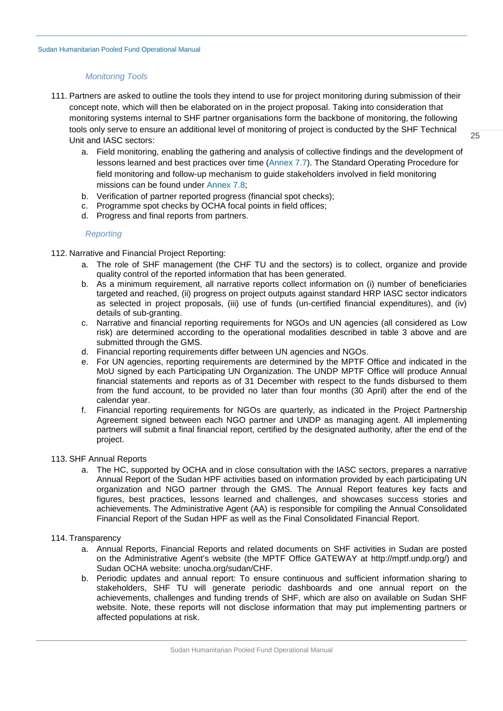## *Monitoring Tools*

- 111. Partners are asked to outline the tools they intend to use for project monitoring during submission of their concept note, which will then be elaborated on in the project proposal. Taking into consideration that monitoring systems internal to SHF partner organisations form the backbone of monitoring, the following tools only serve to ensure an additional level of monitoring of project is conducted by the SHF Technical Unit and IASC sectors:
	- a. Field monitoring, enabling the gathering and analysis of collective findings and the development of lessons learned and best practices over time [\(Annex 7.7\)](#page-36-0). The Standard Operating Procedure for field monitoring and follow-up mechanism to guide stakeholders involved in field monitoring missions can be found under [Annex 7.8;](#page-43-0)
	- b. Verification of partner reported progress (financial spot checks);
	- c. Programme spot checks by OCHA focal points in field offices;
	- d. Progress and final reports from partners.

# *Reporting*

- 112. Narrative and Financial Project Reporting:
	- a. The role of SHF management (the CHF TU and the sectors) is to collect, organize and provide quality control of the reported information that has been generated.
	- b. As a minimum requirement, all narrative reports collect information on (i) number of beneficiaries targeted and reached, (ii) progress on project outputs against standard HRP IASC sector indicators as selected in project proposals, (iii) use of funds (un-certified financial expenditures), and (iv) details of sub-granting.
	- c. Narrative and financial reporting requirements for NGOs and UN agencies (all considered as Low risk) are determined according to the operational modalities described in table 3 above and are submitted through the GMS.
	- d. Financial reporting requirements differ between UN agencies and NGOs.
	- e. For UN agencies, reporting requirements are determined by the MPTF Office and indicated in the MoU signed by each Participating UN Organization. The UNDP MPTF Office will produce Annual financial statements and reports as of 31 December with respect to the funds disbursed to them from the fund account, to be provided no later than four months (30 April) after the end of the calendar year.
	- f. Financial reporting requirements for NGOs are quarterly, as indicated in the Project Partnership Agreement signed between each NGO partner and UNDP as managing agent. All implementing partners will submit a final financial report, certified by the designated authority, after the end of the project.

## 113. SHF Annual Reports

a. The HC, supported by OCHA and in close consultation with the IASC sectors, prepares a narrative Annual Report of the Sudan HPF activities based on information provided by each participating UN organization and NGO partner through the GMS. The Annual Report features key facts and figures, best practices, lessons learned and challenges, and showcases success stories and achievements. The Administrative Agent (AA) is responsible for compiling the Annual Consolidated Financial Report of the Sudan HPF as well as the Final Consolidated Financial Report.

## 114. Transparency

- a. Annual Reports, Financial Reports and related documents on SHF activities in Sudan are posted on the Administrative Agent's website (the MPTF Office GATEWAY at [http://mptf.undp.org/\)](http://mptf.undp.org/) and Sudan OCHA website: unocha.org/sudan/CHF.
- b. Periodic updates and annual report: To ensure continuous and sufficient information sharing to stakeholders, SHF TU will generate periodic dashboards and one annual report on the achievements, challenges and funding trends of SHF, which are also on available on Sudan SHF website. Note, these reports will not disclose information that may put implementing partners or affected populations at risk.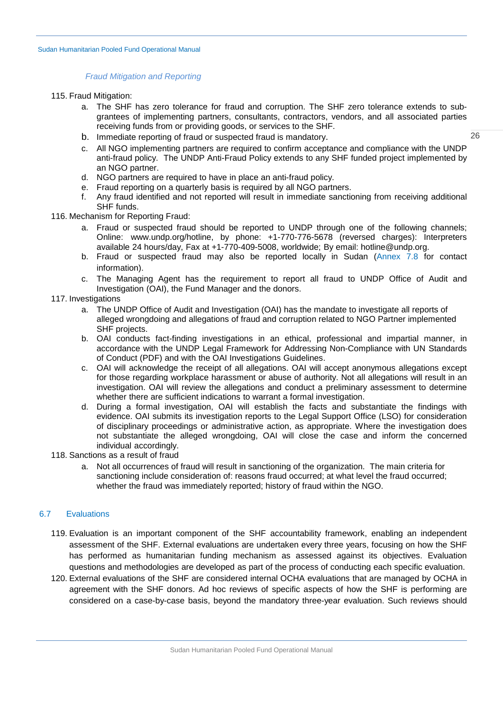#### *Fraud Mitigation and Reporting*

- 115. Fraud Mitigation:
	- a. The SHF has zero tolerance for fraud and corruption. The SHF zero tolerance extends to subgrantees of implementing partners, consultants, contractors, vendors, and all associated parties receiving funds from or providing goods, or services to the SHF.
	- b. Immediate reporting of fraud or suspected fraud is mandatory.
	- c. All NGO implementing partners are required to confirm acceptance and compliance with the UNDP anti-fraud policy. The [UNDP Anti-Fraud Policy](http://www.undp.org/content/dam/undp/documents/about/transparencydocs/UNDP_Anti-fraud_Policy_English_FINAL.pdf) extends to any SHF funded project implemented by an NGO partner.
	- d. NGO partners are required to have in place an anti-fraud policy.
	- e. Fraud reporting on a quarterly basis is required by all NGO partners.
	- f. Any fraud identified and not reported will result in immediate sanctioning from receiving additional SHF funds.
- 116. Mechanism for Reporting Fraud:
	- a. Fraud or suspected fraud should be reported to UNDP through one of the following channels; Online: [www.undp.org/hotline,](http://www.undp.org/hotline) by phone: +1-770-776-5678 (reversed charges): Interpreters available 24 hours/day, Fax at +1-770-409-5008, worldwide; By email: [hotline@undp.org.](mailto:hotline@undp.org)
	- b. Fraud or suspected fraud may also be reported locally in Sudan [\(Annex 7.8](#page-46-0) for contact information).
	- c. The Managing Agent has the requirement to report all fraud to UNDP Office of Audit and Investigation (OAI), the Fund Manager and the donors.
- 117. Investigations
	- a. The UNDP Office of Audit and Investigation (OAI) has the mandate to investigate all reports of alleged wrongdoing and allegations of fraud and corruption related to NGO Partner implemented SHF projects.
	- b. OAI conducts fact-finding investigations in an ethical, professional and impartial manner, in accordance with the [UNDP Legal Framework for Addressing Non-Compliance with UN Standards](http://www.undp.org/content/dam/undp/documents/about/transparencydocs/UNDP_Legal_Framework_for_Addressing_Non_compliance_with_UN_Standards_of_Conduct.pdf)  [of Conduct \(PDF\)](http://www.undp.org/content/dam/undp/documents/about/transparencydocs/UNDP_Legal_Framework_for_Addressing_Non_compliance_with_UN_Standards_of_Conduct.pdf) and with the [OAI Investigations Guidelines.](http://www.undp.org/content/dam/undp/library/corporate/Transparency/OAI%20Investigation%20Guidelines2012Final-English%20pdf.pdf)
	- c. [OAI will acknowledge the receipt of all allegations. OAI will accept anonymous allegations except](http://www.undp.org/content/dam/undp/library/corporate/Transparency/OAI%20Investigation%20Guidelines2012Final-English%20pdf.pdf)  [for those regarding workplace harassment or abuse of authority. Not all allegations will result in an](http://www.undp.org/content/dam/undp/library/corporate/Transparency/OAI%20Investigation%20Guidelines2012Final-English%20pdf.pdf)  [investigation. OAI will review the allegations and conduct a preliminary assessment to determine](http://www.undp.org/content/dam/undp/library/corporate/Transparency/OAI%20Investigation%20Guidelines2012Final-English%20pdf.pdf)  [whether there are sufficient indications to warrant a formal investigation.](http://www.undp.org/content/dam/undp/library/corporate/Transparency/OAI%20Investigation%20Guidelines2012Final-English%20pdf.pdf)
	- d. During a formal investigation, OAI will establish the facts and substantiate the findings with evidence. OAI submits its investigation reports to the Legal Support Office (LSO) for consideration of disciplinary proceedings or administrative action, as appropriate. Where the investigation does not substantiate the alleged wrongdoing, OAI will close the case and inform the concerned individual accordingly.
- 118. Sanctions as a result of fraud
	- a. Not all occurrences of fraud will result in sanctioning of the organization. The main criteria for sanctioning include consideration of: reasons fraud occurred; at what level the fraud occurred; whether the fraud was immediately reported; history of fraud within the NGO.

## <span id="page-25-0"></span>6.7 Evaluations

- 119. Evaluation is an important component of the SHF accountability framework, enabling an independent assessment of the SHF. External evaluations are undertaken every three years, focusing on how the SHF has performed as humanitarian funding mechanism as assessed against its objectives. Evaluation questions and methodologies are developed as part of the process of conducting each specific evaluation.
- 120. External evaluations of the SHF are considered internal OCHA evaluations that are managed by OCHA in agreement with the SHF donors. Ad hoc reviews of specific aspects of how the SHF is performing are considered on a case-by-case basis, beyond the mandatory three-year evaluation. Such reviews should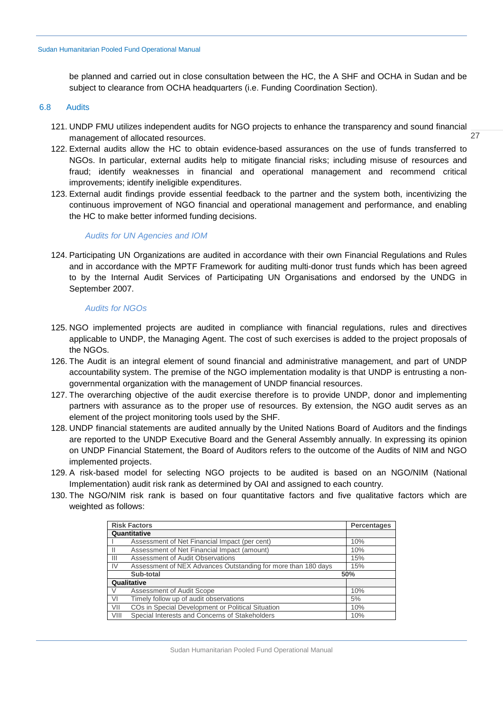be planned and carried out in close consultation between the HC, the A SHF and OCHA in Sudan and be subject to clearance from OCHA headquarters (i.e. Funding Coordination Section).

#### <span id="page-26-0"></span>6.8 Audits

121. UNDP FMU utilizes independent audits for NGO projects to enhance the transparency and sound financial management of allocated resources.

27

- 122. External audits allow the HC to obtain evidence-based assurances on the use of funds transferred to NGOs. In particular, external audits help to mitigate financial risks; including misuse of resources and fraud; identify weaknesses in financial and operational management and recommend critical improvements; identify ineligible expenditures.
- 123. External audit findings provide essential feedback to the partner and the system both, incentivizing the continuous improvement of NGO financial and operational management and performance, and enabling the HC to make better informed funding decisions.

## *Audits for UN Agencies and IOM*

124. Participating UN Organizations are audited in accordance with their own Financial Regulations and Rules and in accordance with the MPTF Framework for auditing multi-donor trust funds which has been agreed to by the Internal Audit Services of Participating UN Organisations and endorsed by the UNDG in September 2007.

## *Audits for NGOs*

- 125. NGO implemented projects are audited in compliance with financial regulations, rules and directives applicable to UNDP, the Managing Agent. The cost of such exercises is added to the project proposals of the NGOs.
- 126. The Audit is an integral element of sound financial and administrative management, and part of UNDP accountability system. The premise of the NGO implementation modality is that UNDP is entrusting a nongovernmental organization with the management of UNDP financial resources.
- 127. The overarching objective of the audit exercise therefore is to provide UNDP, donor and implementing partners with assurance as to the proper use of resources. By extension, the NGO audit serves as an element of the project monitoring tools used by the SHF.
- 128. UNDP financial statements are audited annually by the United Nations Board of Auditors and the findings are reported to the UNDP Executive Board and the General Assembly annually. In expressing its opinion on UNDP Financial Statement, the Board of Auditors refers to the outcome of the Audits of NIM and NGO implemented projects.
- 129. A risk-based model for selecting NGO projects to be audited is based on an NGO/NIM (National Implementation) audit risk rank as determined by OAI and assigned to each country.
- 130. The NGO/NIM risk rank is based on four quantitative factors and five qualitative factors which are weighted as follows:

|                | <b>Risk Factors</b><br>Percentages                            |     |  |  |  |
|----------------|---------------------------------------------------------------|-----|--|--|--|
|                | Quantitative                                                  |     |  |  |  |
|                | Assessment of Net Financial Impact (per cent)                 | 10% |  |  |  |
|                | Assessment of Net Financial Impact (amount)                   | 10% |  |  |  |
| $\mathbf{III}$ | Assessment of Audit Observations                              | 15% |  |  |  |
| <b>IV</b>      | Assessment of NEX Advances Outstanding for more than 180 days | 15% |  |  |  |
|                | Sub-total                                                     | 50% |  |  |  |
|                | Qualitative                                                   |     |  |  |  |
|                | Assessment of Audit Scope                                     | 10% |  |  |  |
| VI             | Timely follow up of audit observations                        | 5%  |  |  |  |
| VII            | COs in Special Development or Political Situation             | 10% |  |  |  |
| VIII           | Special Interests and Concerns of Stakeholders                | 10% |  |  |  |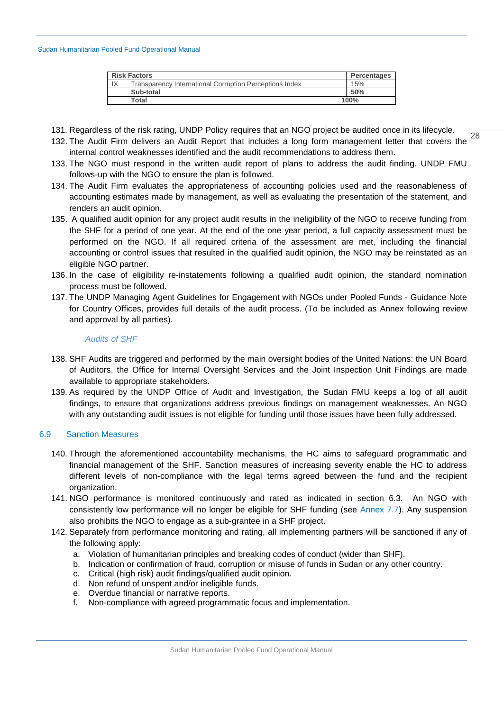| <b>Risk Factors</b><br><b>Percentages</b>                     |      |  |  |  |
|---------------------------------------------------------------|------|--|--|--|
| IX<br>Transparency International Corruption Perceptions Index | 15%  |  |  |  |
| Sub-total                                                     | 50%  |  |  |  |
| Total                                                         | 100% |  |  |  |

- 131. Regardless of the risk rating, UNDP Policy requires that an NGO project be audited once in its lifecycle.
- 28 132. The Audit Firm delivers an Audit Report that includes a long form management letter that covers the internal control weaknesses identified and the audit recommendations to address them.
- 133. The NGO must respond in the written audit report of plans to address the audit finding. UNDP FMU follows-up with the NGO to ensure the plan is followed.
- 134. The Audit Firm evaluates the appropriateness of accounting policies used and the reasonableness of accounting estimates made by management, as well as evaluating the presentation of the statement, and renders an audit opinion.
- 135. A qualified audit opinion for any project audit results in the ineligibility of the NGO to receive funding from the SHF for a period of one year. At the end of the one year period, a full capacity assessment must be performed on the NGO. If all required criteria of the assessment are met, including the financial accounting or control issues that resulted in the qualified audit opinion, the NGO may be reinstated as an eligible NGO partner.
- 136. In the case of eligibility re-instatements following a qualified audit opinion, the standard nomination process must be followed.
- 137. The UNDP Managing Agent Guidelines for Engagement with NGOs under Pooled Funds Guidance Note for Country Offices, provides full details of the audit process. (To be included as Annex following review and approval by all parties).

# *Audits of SHF*

- 138. SHF Audits are triggered and performed by the main oversight bodies of the United Nations: the UN Board of Auditors, the Office for Internal Oversight Services and the Joint Inspection Unit Findings are made available to appropriate stakeholders.
- 139. As required by the UNDP Office of Audit and Investigation, the Sudan FMU keeps a log of all audit findings, to ensure that organizations address previous findings on management weaknesses. An NGO with any outstanding audit issues is not eligible for funding until those issues have been fully addressed.

# <span id="page-27-0"></span>6.9 Sanction Measures

- 140. Through the aforementioned accountability mechanisms, the HC aims to safeguard programmatic and financial management of the SHF. Sanction measures of increasing severity enable the HC to address different levels of non-compliance with the legal terms agreed between the fund and the recipient organization.
- 141. NGO performance is monitored continuously and rated as indicated in section [6.3.](#page-20-0) An NGO with consistently low performance will no longer be eligible for SHF funding (see [Annex 7.7\)](#page-36-0). Any suspension also prohibits the NGO to engage as a sub-grantee in a SHF project.
- 142. Separately from performance monitoring and rating, all implementing partners will be sanctioned if any of the following apply:
	- a. Violation of humanitarian principles and breaking codes of conduct (wider than SHF).
	- b. Indication or confirmation of fraud, corruption or misuse of funds in Sudan or any other country.
	- c. Critical (high risk) audit findings/qualified audit opinion.
	- d. Non refund of unspent and/or ineligible funds.
	- e. Overdue financial or narrative reports.
	- f. Non-compliance with agreed programmatic focus and implementation.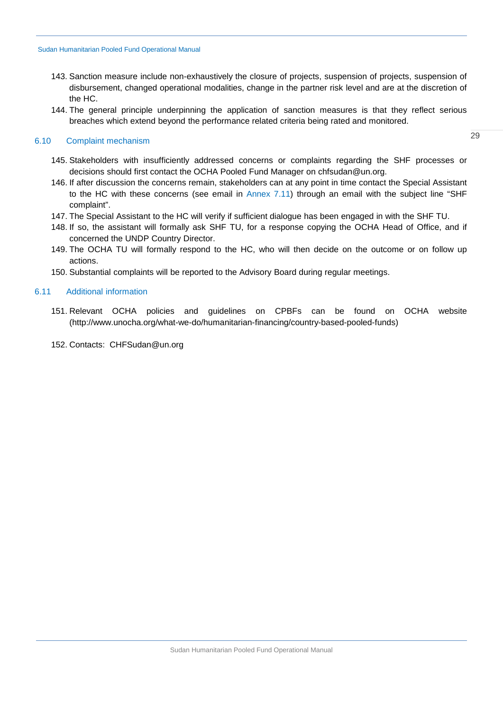- 143. Sanction measure include non-exhaustively the closure of projects, suspension of projects, suspension of disbursement, changed operational modalities, change in the partner risk level and are at the discretion of the HC.
- 144. The general principle underpinning the application of sanction measures is that they reflect serious breaches which extend beyond the performance related criteria being rated and monitored.

## <span id="page-28-0"></span>6.10 Complaint mechanism

- 145. Stakeholders with insufficiently addressed concerns or complaints regarding the SHF processes or decisions should first contact the OCHA Pooled Fund Manager on chfsudan@un.org.
- 146. If after discussion the concerns remain, stakeholders can at any point in time contact the Special Assistant to the HC with these concerns (see email in [Annex 7.11\)](#page-47-0) through an email with the subject line "SHF complaint".
- 147. The Special Assistant to the HC will verify if sufficient dialogue has been engaged in with the SHF TU.
- 148. If so, the assistant will formally ask SHF TU, for a response copying the OCHA Head of Office, and if concerned the UNDP Country Director.
- 149. The OCHA TU will formally respond to the HC, who will then decide on the outcome or on follow up actions.
- 150. Substantial complaints will be reported to the Advisory Board during regular meetings.

## <span id="page-28-1"></span>6.11 Additional information

- 151. Relevant OCHA policies and guidelines on CPBFs can be found on OCHA website [\(http://www.unocha.org/what-we-do/humanitarian-financing/country-based-pooled-funds\)](http://www.unocha.org/what-we-do/humanitarian-financing/country-based-pooled-funds)
- 152. Contacts: [CHFSudan@un.org](mailto:ihf@un.org)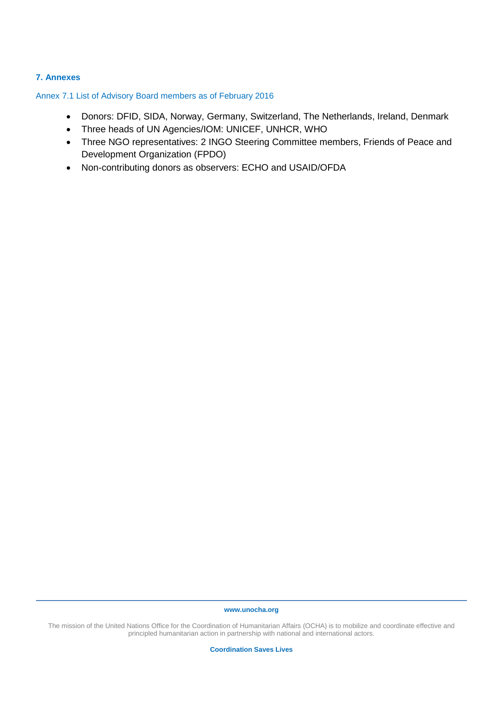# <span id="page-29-0"></span>**7. Annexes**

<span id="page-29-1"></span>Annex 7.1 List of Advisory Board members as of February 2016

- Donors: DFID, SIDA, Norway, Germany, Switzerland, The Netherlands, Ireland, Denmark
- Three heads of UN Agencies/IOM: UNICEF, UNHCR, WHO
- Three NGO representatives: 2 INGO Steering Committee members, Friends of Peace and Development Organization (FPDO)
- Non-contributing donors as observers: ECHO and USAID/OFDA

#### **www.unocha.org**

The mission of the United Nations Office for the Coordination of Humanitarian Affairs (OCHA) is to mobilize and coordinate effective and principled humanitarian action in partnership with national and international actors.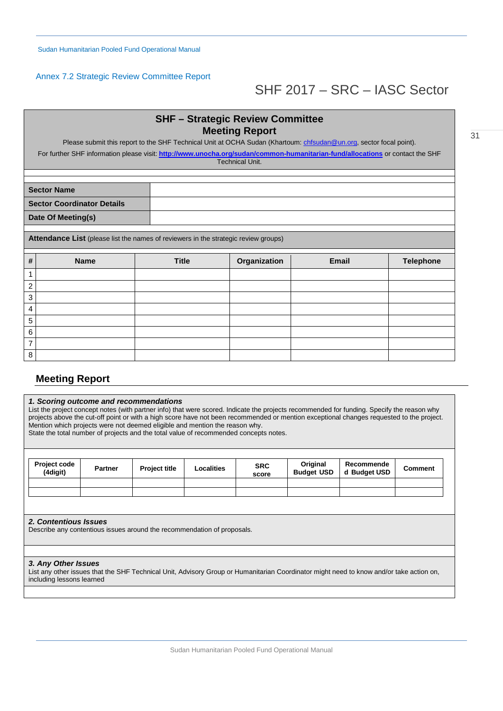# <span id="page-30-0"></span>Annex 7.2 Strategic Review Committee Report

# SHF 2017 – SRC – IASC Sector

|                | <b>SHF – Strategic Review Committee</b><br><b>Meeting Report</b><br>Please submit this report to the SHF Technical Unit at OCHA Sudan (Khartoum: chfsudan@un.org, sector focal point). |              |              |              |                  |  |  |  |  |
|----------------|----------------------------------------------------------------------------------------------------------------------------------------------------------------------------------------|--------------|--------------|--------------|------------------|--|--|--|--|
|                | For further SHF information please visit: http://www.unocha.org/sudan/common-humanitarian-fund/allocations or contact the SHF<br><b>Technical Unit.</b>                                |              |              |              |                  |  |  |  |  |
|                |                                                                                                                                                                                        |              |              |              |                  |  |  |  |  |
|                | <b>Sector Name</b>                                                                                                                                                                     |              |              |              |                  |  |  |  |  |
|                | <b>Sector Coordinator Details</b>                                                                                                                                                      |              |              |              |                  |  |  |  |  |
|                | Date Of Meeting(s)                                                                                                                                                                     |              |              |              |                  |  |  |  |  |
|                | Attendance List (please list the names of reviewers in the strategic review groups)                                                                                                    |              |              |              |                  |  |  |  |  |
| #              | <b>Name</b>                                                                                                                                                                            | <b>Title</b> | Organization | <b>Email</b> | <b>Telephone</b> |  |  |  |  |
| 1              |                                                                                                                                                                                        |              |              |              |                  |  |  |  |  |
| $\overline{c}$ |                                                                                                                                                                                        |              |              |              |                  |  |  |  |  |
| 3              |                                                                                                                                                                                        |              |              |              |                  |  |  |  |  |
| 4              |                                                                                                                                                                                        |              |              |              |                  |  |  |  |  |
| 5              |                                                                                                                                                                                        |              |              |              |                  |  |  |  |  |
| 6              |                                                                                                                                                                                        |              |              |              |                  |  |  |  |  |
| $\overline{7}$ |                                                                                                                                                                                        |              |              |              |                  |  |  |  |  |
| 8              |                                                                                                                                                                                        |              |              |              |                  |  |  |  |  |

# **Meeting Report**

#### *1. Scoring outcome and recommendations*

List the project concept notes (with partner info) that were scored. Indicate the projects recommended for funding. Specify the reason why projects above the cut-off point or with a high score have not been recommended or mention exceptional changes requested to the project. Mention which projects were not deemed eligible and mention the reason why. State the total number of projects and the total value of recommended concepts notes.

| <b>Project code</b><br>(4digit) | <b>Partner</b> | <b>Project title</b> | Localities | <b>SRC</b><br>score | Original<br><b>Budget USD</b> | Recommende<br>d Budget USD | Comment |
|---------------------------------|----------------|----------------------|------------|---------------------|-------------------------------|----------------------------|---------|
|                                 |                |                      |            |                     |                               |                            |         |
|                                 |                |                      |            |                     |                               |                            |         |

#### *2. Contentious Issues*

Describe any contentious issues around the recommendation of proposals.

#### *3. Any Other Issues*

<span id="page-30-1"></span>List any other issues that the SHF Technical Unit, Advisory Group or Humanitarian Coordinator might need to know and/or take action on, including lessons learned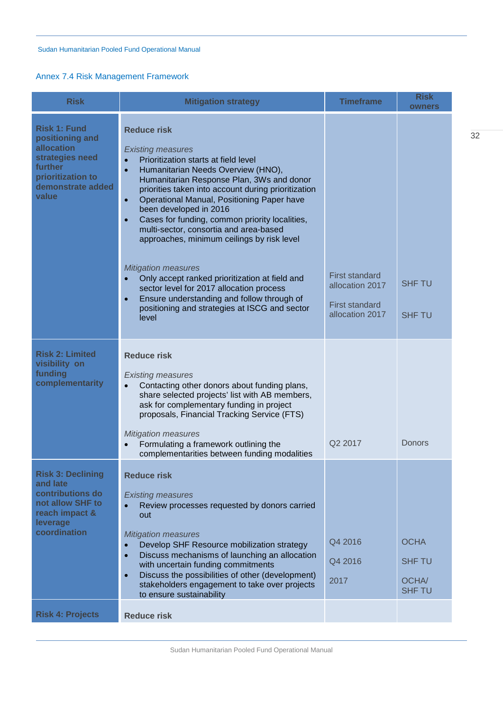# <span id="page-31-0"></span>Annex 7.4 Risk Management Framework

| <b>Risk</b>                                                                                                                                         | <b>Mitigation strategy</b>                                                                                                                                                                                                                                                                                                                                                                                                                                                   | <b>Timeframe</b>                                                                     | <b>Risk</b><br>owners                                  |
|-----------------------------------------------------------------------------------------------------------------------------------------------------|------------------------------------------------------------------------------------------------------------------------------------------------------------------------------------------------------------------------------------------------------------------------------------------------------------------------------------------------------------------------------------------------------------------------------------------------------------------------------|--------------------------------------------------------------------------------------|--------------------------------------------------------|
| <b>Risk 1: Fund</b><br>positioning and<br><b>allocation</b><br>strategies need<br><b>further</b><br>prioritization to<br>demonstrate added<br>value | <b>Reduce risk</b><br><b>Existing measures</b><br>Prioritization starts at field level<br>Humanitarian Needs Overview (HNO),<br>$\bullet$<br>Humanitarian Response Plan, 3Ws and donor<br>priorities taken into account during prioritization<br>Operational Manual, Positioning Paper have<br>$\bullet$<br>been developed in 2016<br>Cases for funding, common priority localities,<br>multi-sector, consortia and area-based<br>approaches, minimum ceilings by risk level |                                                                                      |                                                        |
|                                                                                                                                                     | <b>Mitigation measures</b><br>Only accept ranked prioritization at field and<br>$\bullet$<br>sector level for 2017 allocation process<br>Ensure understanding and follow through of<br>$\bullet$<br>positioning and strategies at ISCG and sector<br>level                                                                                                                                                                                                                   | <b>First standard</b><br>allocation 2017<br><b>First standard</b><br>allocation 2017 | <b>SHF TU</b><br><b>SHF TU</b>                         |
| <b>Risk 2: Limited</b><br>visibility on<br>funding<br>complementarity                                                                               | <b>Reduce risk</b><br><b>Existing measures</b><br>Contacting other donors about funding plans,<br>$\bullet$<br>share selected projects' list with AB members,<br>ask for complementary funding in project<br>proposals, Financial Tracking Service (FTS)<br><b>Mitigation measures</b><br>Formulating a framework outlining the<br>complementarities between funding modalities                                                                                              | Q2 2017                                                                              | <b>Donors</b>                                          |
| <b>Risk 3: Declining</b><br>and late<br>contributions do<br>not allow SHF to<br>reach impact &<br>leverage<br>coordination                          | <b>Reduce risk</b><br><b>Existing measures</b><br>Review processes requested by donors carried<br>out<br><b>Mitigation measures</b><br>Develop SHF Resource mobilization strategy<br>Discuss mechanisms of launching an allocation<br>$\bullet$<br>with uncertain funding commitments<br>Discuss the possibilities of other (development)<br>$\bullet$<br>stakeholders engagement to take over projects<br>to ensure sustainability                                          | Q4 2016<br>Q4 2016<br>2017                                                           | <b>OCHA</b><br><b>SHF TU</b><br>OCHA/<br><b>SHF TU</b> |
| <b>Risk 4: Projects</b>                                                                                                                             | <b>Reduce risk</b>                                                                                                                                                                                                                                                                                                                                                                                                                                                           |                                                                                      |                                                        |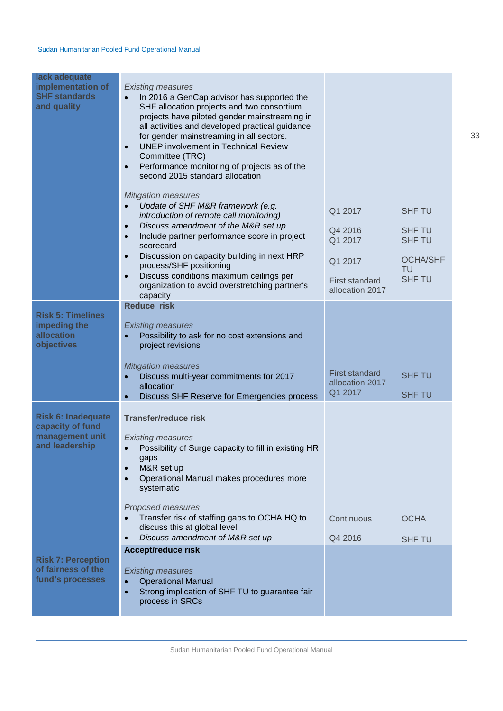| lack adequate<br>implementation of<br><b>SHF standards</b><br>and quality          | <b>Existing measures</b><br>In 2016 a GenCap advisor has supported the<br>$\bullet$<br>SHF allocation projects and two consortium<br>projects have piloted gender mainstreaming in<br>all activities and developed practical guidance<br>for gender mainstreaming in all sectors.<br><b>UNEP</b> involvement in Technical Review<br>$\bullet$<br>Committee (TRC)<br>Performance monitoring of projects as of the<br>$\bullet$<br>second 2015 standard allocation |                                                                                      |                                                                                           |
|------------------------------------------------------------------------------------|------------------------------------------------------------------------------------------------------------------------------------------------------------------------------------------------------------------------------------------------------------------------------------------------------------------------------------------------------------------------------------------------------------------------------------------------------------------|--------------------------------------------------------------------------------------|-------------------------------------------------------------------------------------------|
|                                                                                    | <b>Mitigation measures</b><br>Update of SHF M&R framework (e.g.<br>introduction of remote call monitoring)<br>Discuss amendment of the M&R set up<br>$\bullet$<br>Include partner performance score in project<br>$\bullet$<br>scorecard<br>Discussion on capacity building in next HRP<br>$\bullet$<br>process/SHF positioning<br>Discuss conditions maximum ceilings per<br>$\bullet$<br>organization to avoid overstretching partner's                        | Q1 2017<br>Q4 2016<br>Q1 2017<br>Q1 2017<br><b>First standard</b><br>allocation 2017 | <b>SHF TU</b><br><b>SHF TU</b><br><b>SHF TU</b><br><b>OCHA/SHF</b><br>TU<br><b>SHF TU</b> |
| <b>Risk 5: Timelines</b><br>impeding the<br>allocation<br>objectives               | capacity<br><b>Reduce risk</b><br><b>Existing measures</b><br>Possibility to ask for no cost extensions and<br>project revisions<br><b>Mitigation measures</b><br>Discuss multi-year commitments for 2017<br>$\bullet$<br>allocation<br>Discuss SHF Reserve for Emergencies process<br>$\bullet$                                                                                                                                                                 | <b>First standard</b><br>allocation 2017<br>Q1 2017                                  | <b>SHF TU</b><br><b>SHF TU</b>                                                            |
| <b>Risk 6: Inadequate</b><br>capacity of fund<br>management unit<br>and leadership | <b>Transfer/reduce risk</b><br><b>Existing measures</b><br>Possibility of Surge capacity to fill in existing HR<br>$\bullet$<br>gaps<br>M&R set up<br>$\bullet$<br>Operational Manual makes procedures more<br>$\bullet$<br>systematic<br>Proposed measures<br>Transfer risk of staffing gaps to OCHA HQ to<br>discuss this at global level<br>Discuss amendment of M&R set up<br>$\bullet$                                                                      | Continuous<br>Q4 2016                                                                | <b>OCHA</b><br><b>SHF TU</b>                                                              |
| <b>Risk 7: Perception</b><br>of fairness of the<br>fund's processes                | <b>Accept/reduce risk</b><br><b>Existing measures</b><br><b>Operational Manual</b><br>$\bullet$<br>Strong implication of SHF TU to guarantee fair<br>$\bullet$<br>process in SRCs                                                                                                                                                                                                                                                                                |                                                                                      |                                                                                           |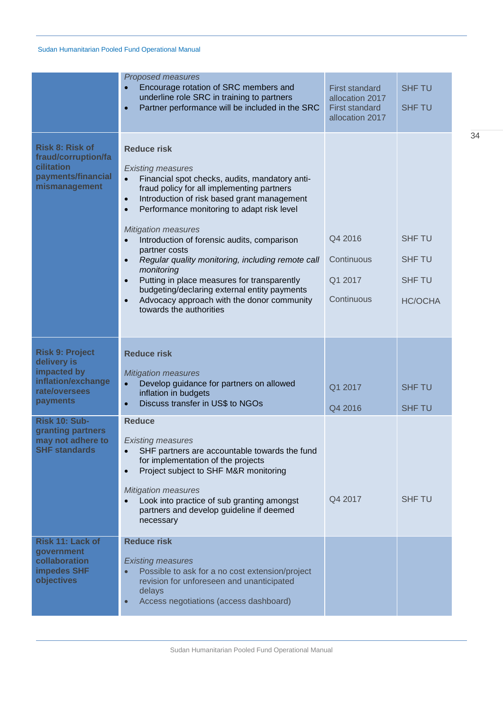|                                                                                                                          | <b>Proposed measures</b><br>Encourage rotation of SRC members and<br>underline role SRC in training to partners<br>Partner performance will be included in the SRC<br>ó                                                                                                                                                                                                                                                                                                                                                                                                                                                                                                         | <b>First standard</b><br>allocation 2017<br><b>First standard</b><br>allocation 2017 | <b>SHF TU</b><br><b>SHF TU</b>                                    |
|--------------------------------------------------------------------------------------------------------------------------|---------------------------------------------------------------------------------------------------------------------------------------------------------------------------------------------------------------------------------------------------------------------------------------------------------------------------------------------------------------------------------------------------------------------------------------------------------------------------------------------------------------------------------------------------------------------------------------------------------------------------------------------------------------------------------|--------------------------------------------------------------------------------------|-------------------------------------------------------------------|
| <b>Risk 8: Risk of</b><br>fraud/corruption/fa<br>cilitation<br>payments/financial<br>mismanagement                       | <b>Reduce risk</b><br><b>Existing measures</b><br>Financial spot checks, audits, mandatory anti-<br>$\bullet$<br>fraud policy for all implementing partners<br>Introduction of risk based grant management<br>$\bullet$<br>Performance monitoring to adapt risk level<br>$\bullet$<br><b>Mitigation measures</b><br>Introduction of forensic audits, comparison<br>$\bullet$<br>partner costs<br>Regular quality monitoring, including remote call<br>$\bullet$<br>monitoring<br>Putting in place measures for transparently<br>$\bullet$<br>budgeting/declaring external entity payments<br>Advocacy approach with the donor community<br>$\bullet$<br>towards the authorities | Q4 2016<br>Continuous<br>Q1 2017<br>Continuous                                       | <b>SHF TU</b><br><b>SHF TU</b><br><b>SHF TU</b><br><b>HC/OCHA</b> |
| <b>Risk 9: Project</b><br>delivery is<br>impacted by<br>inflation/exchange<br>rate/oversees<br>payments<br>Risk 10: Sub- | <b>Reduce risk</b><br><b>Mitigation measures</b><br>Develop guidance for partners on allowed<br>$\bullet$<br>inflation in budgets<br>Discuss transfer in US\$ to NGOs<br>$\bullet$<br><b>Reduce</b>                                                                                                                                                                                                                                                                                                                                                                                                                                                                             | Q1 2017<br>Q4 2016                                                                   | <b>SHF TU</b><br><b>SHF TU</b>                                    |
| granting partners<br>may not adhere to<br><b>SHF standards</b>                                                           | <b>Existing measures</b><br>SHF partners are accountable towards the fund<br>for implementation of the projects<br>Project subject to SHF M&R monitoring<br>$\bullet$<br><b>Mitigation measures</b><br>Look into practice of sub granting amongst<br>partners and develop guideline if deemed<br>necessary                                                                                                                                                                                                                                                                                                                                                                      | Q4 2017                                                                              | <b>SHF TU</b>                                                     |
| Risk 11: Lack of<br>government<br>collaboration<br><b>impedes SHF</b><br>objectives                                      | <b>Reduce risk</b><br><b>Existing measures</b><br>Possible to ask for a no cost extension/project<br>revision for unforeseen and unanticipated<br>delays<br>Access negotiations (access dashboard)<br>$\bullet$                                                                                                                                                                                                                                                                                                                                                                                                                                                                 |                                                                                      |                                                                   |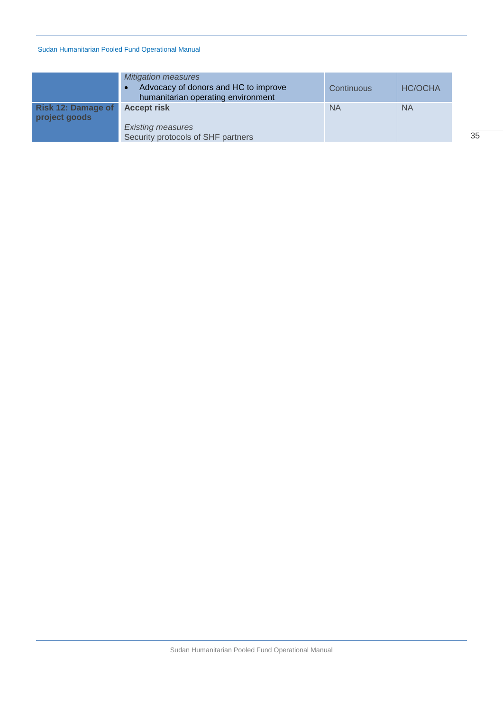|                                            | <b>Mitigation measures</b><br>Advocacy of donors and HC to improve<br>$\bullet$<br>humanitarian operating environment | <b>Continuous</b> | <b>HC/OCHA</b> |
|--------------------------------------------|-----------------------------------------------------------------------------------------------------------------------|-------------------|----------------|
| <b>Risk 12: Damage of</b><br>project goods | <b>Accept risk</b><br><b>Existing measures</b><br>Security protocols of SHF partners                                  | <b>NA</b>         | <b>NA</b>      |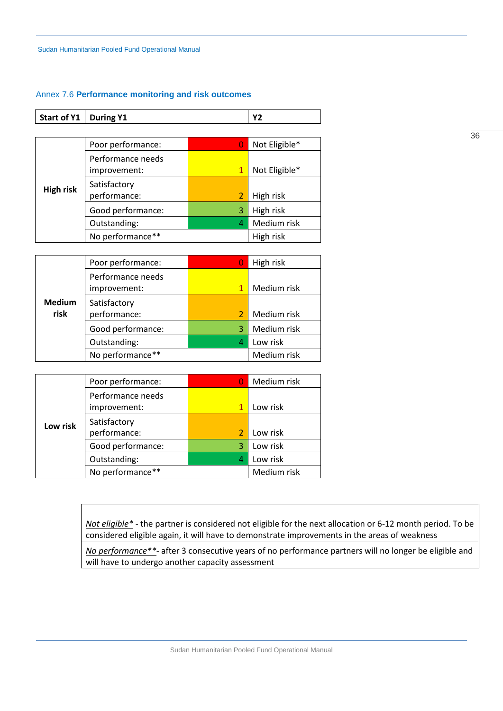#### <span id="page-35-1"></span><span id="page-35-0"></span>Annex 7.6 **Performance monitoring and risk outcomes**

| Start of Y1   During Y1 |  |  |
|-------------------------|--|--|

|                  | Poor performance:                 |              | Not Eligible* |
|------------------|-----------------------------------|--------------|---------------|
|                  | Performance needs<br>improvement: | $\mathbf{1}$ | Not Eligible* |
| <b>High risk</b> | Satisfactory<br>performance:      | 2            | High risk     |
|                  | Good performance:                 | 3            | High risk     |
|                  | Outstanding:                      | 4            | Medium risk   |
|                  | No performance**                  |              | High risk     |

|                       | Poor performance:                 |   | High risk   |
|-----------------------|-----------------------------------|---|-------------|
|                       | Performance needs<br>improvement: |   | Medium risk |
| <b>Medium</b><br>risk | Satisfactory<br>performance:      | 2 | Medium risk |
|                       | Good performance:                 | 3 | Medium risk |
|                       | Outstanding:                      | 4 | Low risk    |
|                       | No performance**                  |   | Medium risk |

|          | Poor performance:                 |   | Medium risk |
|----------|-----------------------------------|---|-------------|
|          | Performance needs<br>improvement: | 1 | Low risk    |
| Low risk | Satisfactory<br>performance:      |   | Low risk    |
|          | Good performance:                 | 3 | Low risk    |
|          | Outstanding:                      |   | Low risk    |
|          | No performance**                  |   | Medium risk |

*Not eligible\** - the partner is considered not eligible for the next allocation or 6-12 month period. To be considered eligible again, it will have to demonstrate improvements in the areas of weakness

*No performance\*\**- after 3 consecutive years of no performance partners will no longer be eligible and will have to undergo another capacity assessment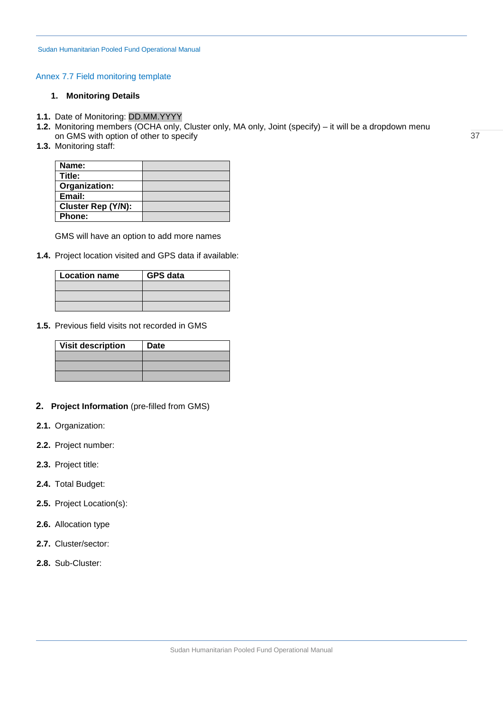# <span id="page-36-0"></span>Annex 7.7 Field monitoring template

## **1. Monitoring Details**

- **1.1.** Date of Monitoring: DD.MM.YYYY
- **1.2.** Monitoring members (OCHA only, Cluster only, MA only, Joint (specify) it will be a dropdown menu on GMS with option of other to specify
- **1.3.** Monitoring staff:

| Name:                     |  |
|---------------------------|--|
| Title:                    |  |
| Organization:             |  |
| Email:                    |  |
| <b>Cluster Rep (Y/N):</b> |  |
| <b>Phone:</b>             |  |

GMS will have an option to add more names

**1.4.** Project location visited and GPS data if available:

| <b>Location name</b> | <b>GPS data</b> |
|----------------------|-----------------|
|                      |                 |
|                      |                 |
|                      |                 |

**1.5.** Previous field visits not recorded in GMS

| <b>Visit description</b> | Date |
|--------------------------|------|
|                          |      |
|                          |      |
|                          |      |

- **2. Project Information** (pre-filled from GMS)
- **2.1.** Organization:
- **2.2.** Project number:
- **2.3.** Project title:
- **2.4.** Total Budget:
- **2.5.** Project Location(s):
- **2.6.** Allocation type
- **2.7.** Cluster/sector:
- **2.8.** Sub-Cluster: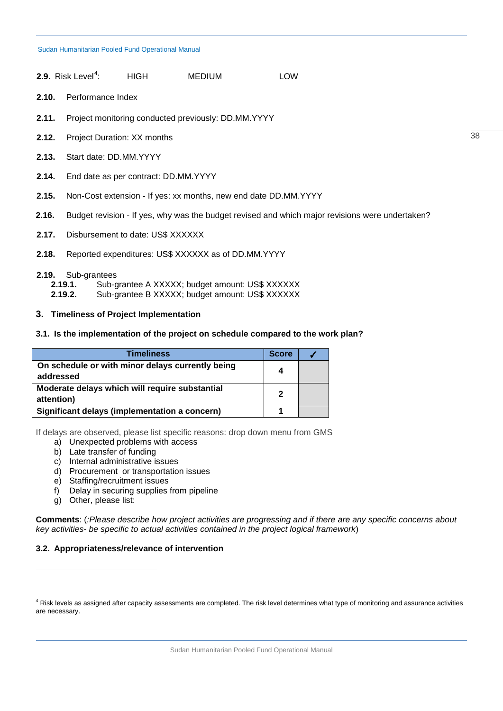| <b>2.9.</b> Risk Level <sup><math>4</math></sup> : | HIGH | <b>MEDIUM</b> | <b>LOW</b> |
|----------------------------------------------------|------|---------------|------------|
|----------------------------------------------------|------|---------------|------------|

- **2.10.** Performance Index
- **2.11.** Project monitoring conducted previously: DD.MM.YYYY
- **2.12.** Project Duration: XX months
- **2.13.** Start date: DD.MM.YYYY
- **2.14.** End date as per contract: DD.MM.YYYY
- **2.15.** Non-Cost extension If yes: xx months, new end date DD.MM.YYYY
- **2.16.** Budget revision If yes, why was the budget revised and which major revisions were undertaken?
- **2.17.** Disbursement to date: US\$ XXXXXX
- **2.18.** Reported expenditures: US\$ XXXXXX as of DD.MM.YYYY

# **2.19.** Sub-grantees

- **2.19.1.** Sub-grantee A XXXXX; budget amount: US\$ XXXXXX
- **2.19.2.** Sub-grantee B XXXXX; budget amount: US\$ XXXXXX

# **3. Timeliness of Project Implementation**

## **3.1. Is the implementation of the project on schedule compared to the work plan?**

| <b>Timeliness</b>                                             | <b>Score</b>   |  |
|---------------------------------------------------------------|----------------|--|
| On schedule or with minor delays currently being<br>addressed | 4              |  |
| Moderate delays which will require substantial<br>attention)  | $\overline{2}$ |  |
| Significant delays (implementation a concern)                 |                |  |

If delays are observed, please list specific reasons: drop down menu from GMS

- a) Unexpected problems with access
- b) Late transfer of funding
- c) Internal administrative issues
- d) Procurement or transportation issues
- e) Staffing/recruitment issues
- f) Delay in securing supplies from pipeline
- g) Other, please list:

 $\overline{a}$ 

**Comments**: (*:Please describe how project activities are progressing and if there are any specific concerns about key activities- be specific to actual activities contained in the project logical framework*)

## **3.2. Appropriateness/relevance of intervention**

<span id="page-37-0"></span><sup>4</sup> Risk levels as assigned after capacity assessments are completed. The risk level determines what type of monitoring and assurance activities are necessary.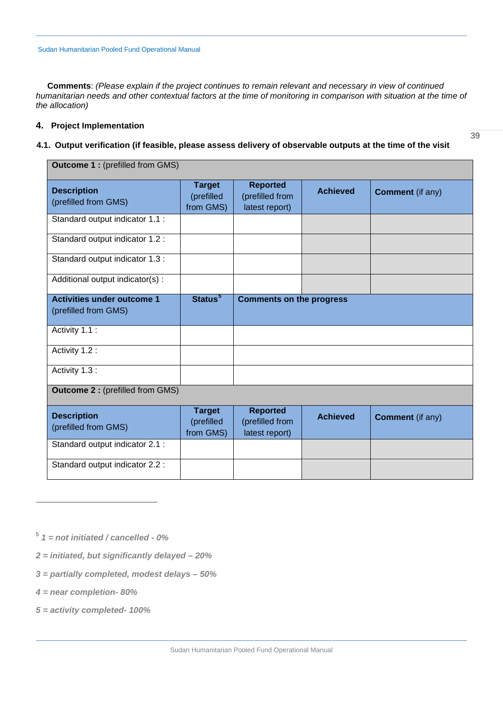**Comments**: *(Please explain if the project continues to remain relevant and necessary in view of continued humanitarian needs and other contextual factors at the time of monitoring in comparison with situation at the time of the allocation)*

# **4. Project Implementation**

# **4.1. Output verification (if feasible, please assess delivery of observable outputs at the time of the visit**

| <b>Outcome 1: (prefilled from GMS)</b>                    |                                          |                                                      |                 |                         |
|-----------------------------------------------------------|------------------------------------------|------------------------------------------------------|-----------------|-------------------------|
| <b>Description</b><br>(prefilled from GMS)                | <b>Target</b><br>(prefilled<br>from GMS) | <b>Reported</b><br>(prefilled from<br>latest report) | <b>Achieved</b> | <b>Comment</b> (if any) |
| Standard output indicator 1.1 :                           |                                          |                                                      |                 |                         |
| Standard output indicator 1.2 :                           |                                          |                                                      |                 |                         |
| Standard output indicator 1.3 :                           |                                          |                                                      |                 |                         |
| Additional output indicator(s):                           |                                          |                                                      |                 |                         |
| <b>Activities under outcome 1</b><br>(prefilled from GMS) | Status <sup>5</sup>                      | <b>Comments on the progress</b>                      |                 |                         |
| Activity 1.1 :                                            |                                          |                                                      |                 |                         |
| Activity 1.2 :                                            |                                          |                                                      |                 |                         |
| Activity 1.3 :                                            |                                          |                                                      |                 |                         |
| <b>Outcome 2: (prefilled from GMS)</b>                    |                                          |                                                      |                 |                         |
| <b>Description</b><br>(prefilled from GMS)                | <b>Target</b><br>(prefilled<br>from GMS) | <b>Reported</b><br>(prefilled from<br>latest report) | <b>Achieved</b> | <b>Comment</b> (if any) |
| Standard output indicator 2.1 :                           |                                          |                                                      |                 |                         |
| Standard output indicator 2.2 :                           |                                          |                                                      |                 |                         |

- *2 = initiated, but significantly delayed – 20%*
- *3 = partially completed, modest delays – 50%*
- *4 = near completion- 80%*

 $\overline{a}$ 

*5 = activity completed- 100%*

<span id="page-38-0"></span><sup>5</sup> *1 = not initiated / cancelled - 0%*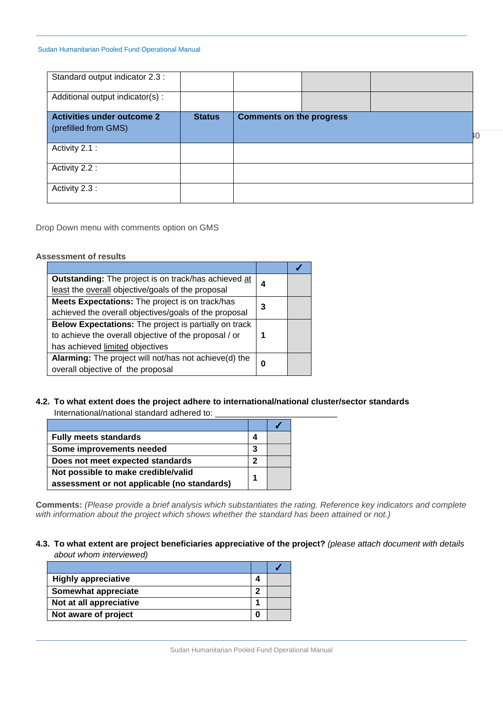| Standard output indicator 2.3 :   |               |                                 |  |    |
|-----------------------------------|---------------|---------------------------------|--|----|
| Additional output indicator(s):   |               |                                 |  |    |
| <b>Activities under outcome 2</b> | <b>Status</b> | <b>Comments on the progress</b> |  |    |
|                                   |               |                                 |  |    |
| (prefilled from GMS)              |               |                                 |  |    |
|                                   |               |                                 |  | ŀC |
| Activity 2.1 :                    |               |                                 |  |    |
|                                   |               |                                 |  |    |
| Activity 2.2 :                    |               |                                 |  |    |
|                                   |               |                                 |  |    |
| Activity 2.3 :                    |               |                                 |  |    |
|                                   |               |                                 |  |    |
|                                   |               |                                 |  |    |

Drop Down menu with comments option on GMS

## **Assessment of results**

| Outstanding: The project is on track/has achieved at         | 4 |  |
|--------------------------------------------------------------|---|--|
| least the overall objective/goals of the proposal            |   |  |
| Meets Expectations: The project is on track/has              | З |  |
| achieved the overall objectives/goals of the proposal        |   |  |
| <b>Below Expectations:</b> The project is partially on track |   |  |
| to achieve the overall objective of the proposal / or        |   |  |
| has achieved limited objectives                              |   |  |
| Alarming: The project will not/has not achieve(d) the        | O |  |
| overall objective of the proposal                            |   |  |

# **4.2. To what extent does the project adhere to international/national cluster/sector standards**

| International/national standard adhered to: |  |
|---------------------------------------------|--|
|                                             |  |

| <b>Fully meets standards</b>                | 4 |  |
|---------------------------------------------|---|--|
| Some improvements needed                    | 3 |  |
| Does not meet expected standards            | 2 |  |
| Not possible to make credible/valid         |   |  |
| assessment or not applicable (no standards) |   |  |

**Comments:** *(Please provide a brief analysis which substantiates the rating. Reference key indicators and complete with information about the project which shows whether the standard has been attained or not.)*

# **4.3. To what extent are project beneficiaries appreciative of the project?** *(please attach document with details about whom interviewed)*

| <b>Highly appreciative</b> |  |
|----------------------------|--|
| Somewhat appreciate        |  |
| Not at all appreciative    |  |
| Not aware of project       |  |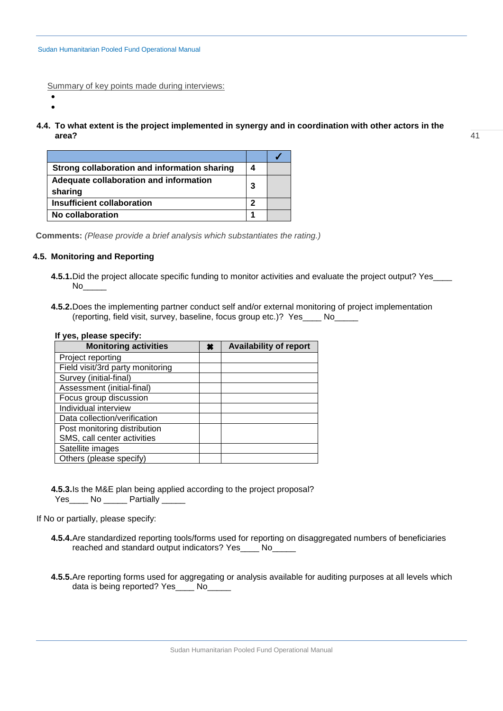Summary of key points made during interviews:

- •
- **4.4. To what extent is the project implemented in synergy and in coordination with other actors in the area?**

| Strong collaboration and information sharing      | 4 |  |
|---------------------------------------------------|---|--|
| Adequate collaboration and information<br>sharing | 3 |  |
| <b>Insufficient collaboration</b>                 | 2 |  |
| No collaboration                                  |   |  |

**Comments:** *(Please provide a brief analysis which substantiates the rating.)* 

# **4.5. Monitoring and Reporting**

- **4.5.1.** Did the project allocate specific funding to monitor activities and evaluate the project output? Yes  $No$
- **4.5.2.**Does the implementing partner conduct self and/or external monitoring of project implementation (reporting, field visit, survey, baseline, focus group etc.)? Yes\_\_\_\_ No\_\_\_\_\_

| If yes, please specify:          |   |                               |
|----------------------------------|---|-------------------------------|
| <b>Monitoring activities</b>     | × | <b>Availability of report</b> |
| Project reporting                |   |                               |
| Field visit/3rd party monitoring |   |                               |
| Survey (initial-final)           |   |                               |
| Assessment (initial-final)       |   |                               |
| Focus group discussion           |   |                               |
| Individual interview             |   |                               |
| Data collection/verification     |   |                               |
| Post monitoring distribution     |   |                               |
| SMS, call center activities      |   |                               |
| Satellite images                 |   |                               |
| Others (please specify)          |   |                               |

**4.5.3.**Is the M&E plan being applied according to the project proposal? Yes\_\_\_\_ No \_\_\_\_\_ Partially \_\_\_\_\_

If No or partially, please specify:

- **4.5.4.**Are standardized reporting tools/forms used for reporting on disaggregated numbers of beneficiaries reached and standard output indicators? Yes\_\_\_\_ No\_\_\_\_\_
- **4.5.5.**Are reporting forms used for aggregating or analysis available for auditing purposes at all levels which data is being reported? Yes\_\_\_\_ No\_\_\_\_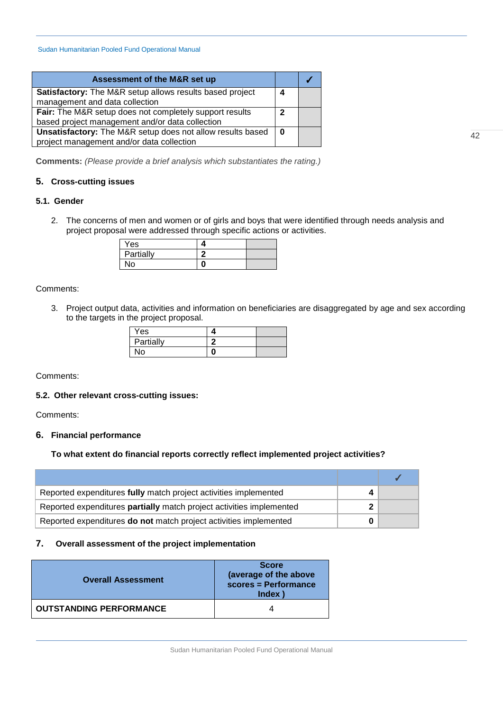| Assessment of the M&R set up                               |          |  |
|------------------------------------------------------------|----------|--|
| Satisfactory: The M&R setup allows results based project   |          |  |
| management and data collection                             |          |  |
| Fair: The M&R setup does not completely support results    | 2        |  |
| based project management and/or data collection            |          |  |
| Unsatisfactory: The M&R setup does not allow results based | $\bf{0}$ |  |
| project management and/or data collection                  |          |  |

**Comments:** *(Please provide a brief analysis which substantiates the rating.)*

## **5. Cross-cutting issues**

# **5.1. Gender**

2. The concerns of men and women or of girls and boys that were identified through needs analysis and project proposal were addressed through specific actions or activities.

| Yes       |  |
|-----------|--|
| Partially |  |
| No.       |  |

Comments:

3. Project output data, activities and information on beneficiaries are disaggregated by age and sex according to the targets in the project proposal.

| Yes       |  |
|-----------|--|
| Partially |  |
| <b>No</b> |  |

Comments:

## **5.2. Other relevant cross-cutting issues:**

Comments:

## **6. Financial performance**

# **To what extent do financial reports correctly reflect implemented project activities?**

| Reported expenditures fully match project activities implemented     |  |
|----------------------------------------------------------------------|--|
| Reported expenditures partially match project activities implemented |  |
| Reported expenditures do not match project activities implemented    |  |

# **7. Overall assessment of the project implementation**

| <b>Overall Assessment</b>      | <b>Score</b><br>(average of the above<br>scores = Performance<br><b>Index</b> |
|--------------------------------|-------------------------------------------------------------------------------|
| <b>OUTSTANDING PERFORMANCE</b> |                                                                               |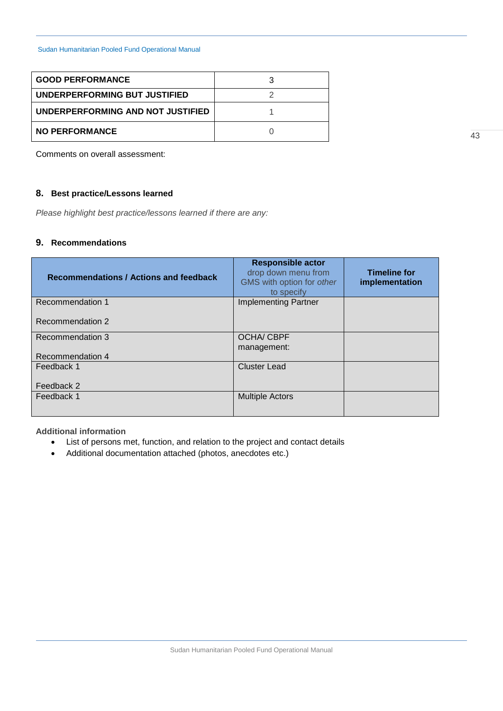| <b>GOOD PERFORMANCE</b>           |  |
|-----------------------------------|--|
| UNDERPERFORMING BUT JUSTIFIED     |  |
| UNDERPERFORMING AND NOT JUSTIFIED |  |
| <b>NO PERFORMANCE</b>             |  |

Comments on overall assessment:

# **8. Best practice/Lessons learned**

*Please highlight best practice/lessons learned if there are any:*

# **9. Recommendations**

| <b>Recommendations / Actions and feedback</b> | <b>Responsible actor</b><br>drop down menu from<br>GMS with option for other<br>to specify | <b>Timeline for</b><br>implementation |
|-----------------------------------------------|--------------------------------------------------------------------------------------------|---------------------------------------|
| Recommendation 1                              | <b>Implementing Partner</b>                                                                |                                       |
| Recommendation 2                              |                                                                                            |                                       |
| Recommendation 3                              | <b>OCHA/CBPF</b>                                                                           |                                       |
|                                               | management:                                                                                |                                       |
| Recommendation 4                              |                                                                                            |                                       |
| Feedback 1                                    | <b>Cluster Lead</b>                                                                        |                                       |
| Feedback 2                                    |                                                                                            |                                       |
| Feedback 1                                    | <b>Multiple Actors</b>                                                                     |                                       |

**Additional information** 

- List of persons met, function, and relation to the project and contact details
- Additional documentation attached (photos, anecdotes etc.)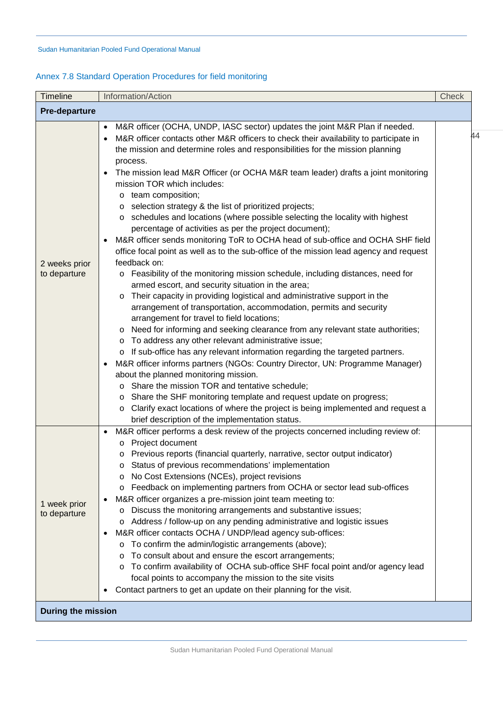# <span id="page-43-0"></span>Annex 7.8 Standard Operation Procedures for field monitoring

| Timeline                      | Information/Action                                                                                                                                                                                                                                                                                                                                                                                                                                                                                                                                                                                                                                                                                                                                                                                                                                                                                                                                                                                                                                                                                                                                                                                                                                                                                                                                                                                                                                                                                                                                                                                                                                                                                                                                                                                                                                           | Check |
|-------------------------------|--------------------------------------------------------------------------------------------------------------------------------------------------------------------------------------------------------------------------------------------------------------------------------------------------------------------------------------------------------------------------------------------------------------------------------------------------------------------------------------------------------------------------------------------------------------------------------------------------------------------------------------------------------------------------------------------------------------------------------------------------------------------------------------------------------------------------------------------------------------------------------------------------------------------------------------------------------------------------------------------------------------------------------------------------------------------------------------------------------------------------------------------------------------------------------------------------------------------------------------------------------------------------------------------------------------------------------------------------------------------------------------------------------------------------------------------------------------------------------------------------------------------------------------------------------------------------------------------------------------------------------------------------------------------------------------------------------------------------------------------------------------------------------------------------------------------------------------------------------------|-------|
| <b>Pre-departure</b>          |                                                                                                                                                                                                                                                                                                                                                                                                                                                                                                                                                                                                                                                                                                                                                                                                                                                                                                                                                                                                                                                                                                                                                                                                                                                                                                                                                                                                                                                                                                                                                                                                                                                                                                                                                                                                                                                              |       |
| 2 weeks prior<br>to departure | M&R officer (OCHA, UNDP, IASC sector) updates the joint M&R Plan if needed.<br>$\bullet$<br>M&R officer contacts other M&R officers to check their availability to participate in<br>the mission and determine roles and responsibilities for the mission planning<br>process.<br>The mission lead M&R Officer (or OCHA M&R team leader) drafts a joint monitoring<br>mission TOR which includes:<br>o team composition;<br>selection strategy & the list of prioritized projects;<br>O<br>schedules and locations (where possible selecting the locality with highest<br>$\circ$<br>percentage of activities as per the project document);<br>M&R officer sends monitoring ToR to OCHA head of sub-office and OCHA SHF field<br>٠<br>office focal point as well as to the sub-office of the mission lead agency and request<br>feedback on:<br>o Feasibility of the monitoring mission schedule, including distances, need for<br>armed escort, and security situation in the area;<br>Their capacity in providing logistical and administrative support in the<br>$\circ$<br>arrangement of transportation, accommodation, permits and security<br>arrangement for travel to field locations;<br>Need for informing and seeking clearance from any relevant state authorities;<br>$\circ$<br>To address any other relevant administrative issue;<br>$\circ$<br>o If sub-office has any relevant information regarding the targeted partners.<br>M&R officer informs partners (NGOs: Country Director, UN: Programme Manager)<br>$\bullet$<br>about the planned monitoring mission.<br>o Share the mission TOR and tentative schedule;<br>Share the SHF monitoring template and request update on progress;<br>O<br>Clarify exact locations of where the project is being implemented and request a<br>O<br>brief description of the implementation status. | 44    |
| 1 week prior<br>to departure  | M&R officer performs a desk review of the projects concerned including review of:<br>$\bullet$<br>Project document<br>$\circ$<br>o Previous reports (financial quarterly, narrative, sector output indicator)<br>o Status of previous recommendations' implementation<br>No Cost Extensions (NCEs), project revisions<br>Feedback on implementing partners from OCHA or sector lead sub-offices<br>O<br>M&R officer organizes a pre-mission joint team meeting to:<br>$\bullet$<br>Discuss the monitoring arrangements and substantive issues;<br>O<br>Address / follow-up on any pending administrative and logistic issues<br>O<br>M&R officer contacts OCHA / UNDP/lead agency sub-offices:<br>٠<br>To confirm the admin/logistic arrangements (above);<br>O<br>To consult about and ensure the escort arrangements;<br>O<br>To confirm availability of OCHA sub-office SHF focal point and/or agency lead<br>O<br>focal points to accompany the mission to the site visits<br>Contact partners to get an update on their planning for the visit.<br>٠                                                                                                                                                                                                                                                                                                                                                                                                                                                                                                                                                                                                                                                                                                                                                                                                    |       |
| <b>During the mission</b>     |                                                                                                                                                                                                                                                                                                                                                                                                                                                                                                                                                                                                                                                                                                                                                                                                                                                                                                                                                                                                                                                                                                                                                                                                                                                                                                                                                                                                                                                                                                                                                                                                                                                                                                                                                                                                                                                              |       |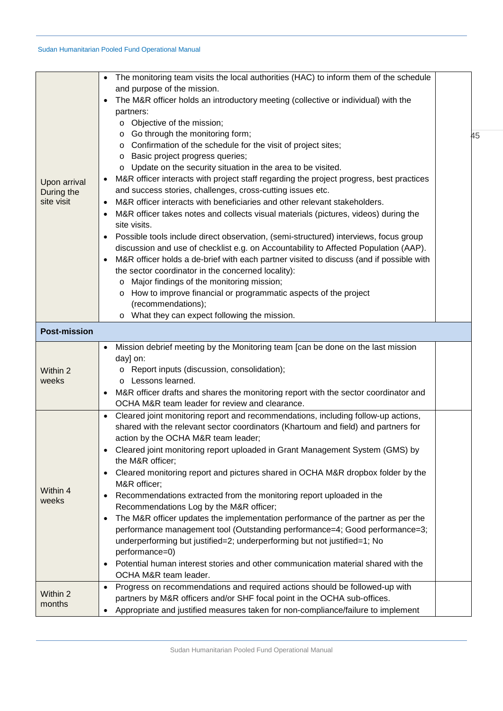| Upon arrival<br>During the<br>site visit | The monitoring team visits the local authorities (HAC) to inform them of the schedule<br>and purpose of the mission.<br>The M&R officer holds an introductory meeting (collective or individual) with the<br>partners:<br>o Objective of the mission;<br>Go through the monitoring form;<br>$\circ$<br>Confirmation of the schedule for the visit of project sites;<br>$\circ$<br>Basic project progress queries;<br>$\circ$<br>o Update on the security situation in the area to be visited.<br>M&R officer interacts with project staff regarding the project progress, best practices<br>and success stories, challenges, cross-cutting issues etc.<br>M&R officer interacts with beneficiaries and other relevant stakeholders.<br>M&R officer takes notes and collects visual materials (pictures, videos) during the<br>$\bullet$<br>site visits.<br>Possible tools include direct observation, (semi-structured) interviews, focus group<br>discussion and use of checklist e.g. on Accountability to Affected Population (AAP).<br>M&R officer holds a de-brief with each partner visited to discuss (and if possible with<br>$\bullet$<br>the sector coordinator in the concerned locality):<br>Major findings of the monitoring mission;<br>$\circ$<br>o How to improve financial or programmatic aspects of the project<br>(recommendations);<br>o What they can expect following the mission. | 45 |
|------------------------------------------|-----------------------------------------------------------------------------------------------------------------------------------------------------------------------------------------------------------------------------------------------------------------------------------------------------------------------------------------------------------------------------------------------------------------------------------------------------------------------------------------------------------------------------------------------------------------------------------------------------------------------------------------------------------------------------------------------------------------------------------------------------------------------------------------------------------------------------------------------------------------------------------------------------------------------------------------------------------------------------------------------------------------------------------------------------------------------------------------------------------------------------------------------------------------------------------------------------------------------------------------------------------------------------------------------------------------------------------------------------------------------------------------------------------|----|
| <b>Post-mission</b>                      |                                                                                                                                                                                                                                                                                                                                                                                                                                                                                                                                                                                                                                                                                                                                                                                                                                                                                                                                                                                                                                                                                                                                                                                                                                                                                                                                                                                                           |    |
| Within 2<br>weeks                        | Mission debrief meeting by the Monitoring team [can be done on the last mission<br>day] on:<br>o Report inputs (discussion, consolidation);<br>o Lessons learned.<br>M&R officer drafts and shares the monitoring report with the sector coordinator and<br>OCHA M&R team leader for review and clearance.                                                                                                                                                                                                                                                                                                                                                                                                                                                                                                                                                                                                                                                                                                                                                                                                                                                                                                                                                                                                                                                                                                |    |
| Within 4<br>weeks                        | Cleared joint monitoring report and recommendations, including follow-up actions,<br>٠<br>shared with the relevant sector coordinators (Khartoum and field) and partners for<br>action by the OCHA M&R team leader;<br>Cleared joint monitoring report uploaded in Grant Management System (GMS) by<br>the M&R officer;<br>Cleared monitoring report and pictures shared in OCHA M&R dropbox folder by the<br>$\bullet$<br>M&R officer;<br>Recommendations extracted from the monitoring report uploaded in the<br>Recommendations Log by the M&R officer;<br>The M&R officer updates the implementation performance of the partner as per the<br>$\bullet$<br>performance management tool (Outstanding performance=4; Good performance=3;<br>underperforming but justified=2; underperforming but not justified=1; No<br>performance=0)<br>Potential human interest stories and other communication material shared with the<br>$\bullet$<br>OCHA M&R team leader.                                                                                                                                                                                                                                                                                                                                                                                                                                       |    |
| Within 2<br>months                       | Progress on recommendations and required actions should be followed-up with<br>partners by M&R officers and/or SHF focal point in the OCHA sub-offices.<br>Appropriate and justified measures taken for non-compliance/failure to implement                                                                                                                                                                                                                                                                                                                                                                                                                                                                                                                                                                                                                                                                                                                                                                                                                                                                                                                                                                                                                                                                                                                                                               |    |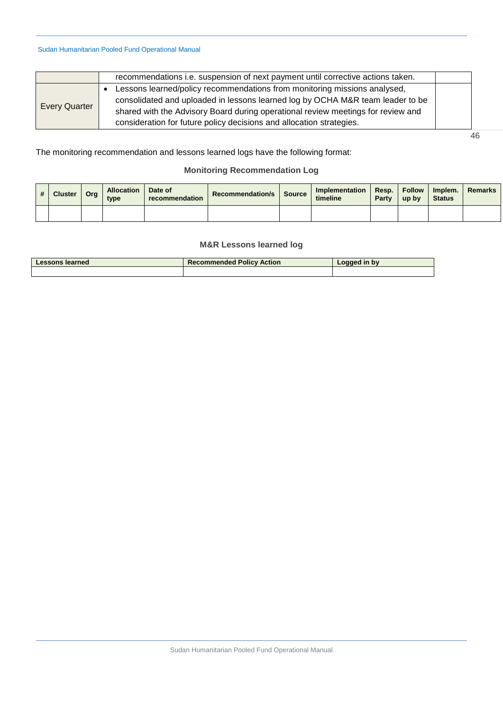|                      | recommendations i.e. suspension of next payment until corrective actions taken.                                                                                                                                                                                                                                           |  |
|----------------------|---------------------------------------------------------------------------------------------------------------------------------------------------------------------------------------------------------------------------------------------------------------------------------------------------------------------------|--|
| <b>Every Quarter</b> | • Lessons learned/policy recommendations from monitoring missions analysed,<br>consolidated and uploaded in lessons learned log by OCHA M&R team leader to be<br>shared with the Advisory Board during operational review meetings for review and<br>consideration for future policy decisions and allocation strategies. |  |

46

The monitoring recommendation and lessons learned logs have the following format:

# **Monitoring Recommendation Log**

| # | <b>Cluster</b> | Org | <b>Allocation</b><br>type | Date of<br>recommendation | <b>Recommendation/s</b> | Source | Implementation<br>timeline | Resp.<br>Party | <b>Follow</b><br>up by | Implem.<br><b>Status</b> | <b>Remarks</b> |
|---|----------------|-----|---------------------------|---------------------------|-------------------------|--------|----------------------------|----------------|------------------------|--------------------------|----------------|
|   |                |     |                           |                           |                         |        |                            |                |                        |                          |                |

# **M&R Lessons learned log**

<span id="page-45-0"></span>

| <b>Lessons learned</b> | <b>Recommended Policy Action</b> | $\textcolor{red}{\text{-}$ ogged in by |
|------------------------|----------------------------------|----------------------------------------|
|                        |                                  |                                        |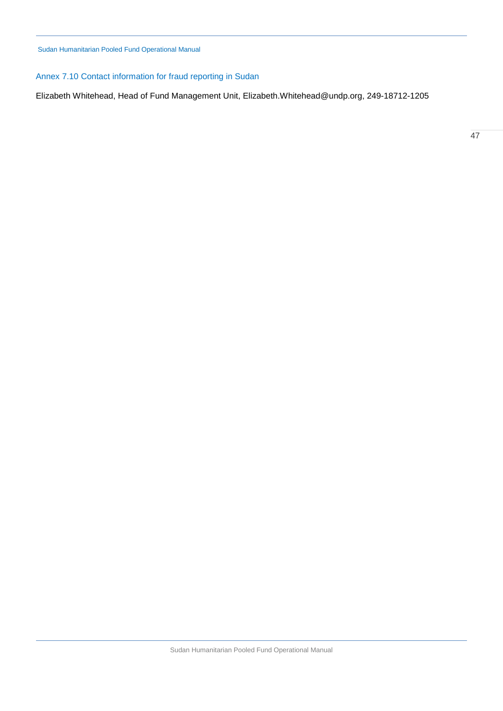# <span id="page-46-0"></span>Annex 7.10 Contact information for fraud reporting in Sudan

Elizabeth Whitehead, Head of Fund Management Unit, [Elizabeth.Whitehead@undp.org,](mailto:Elizabeth.Whitehead@undp.org) 249-18712-1205